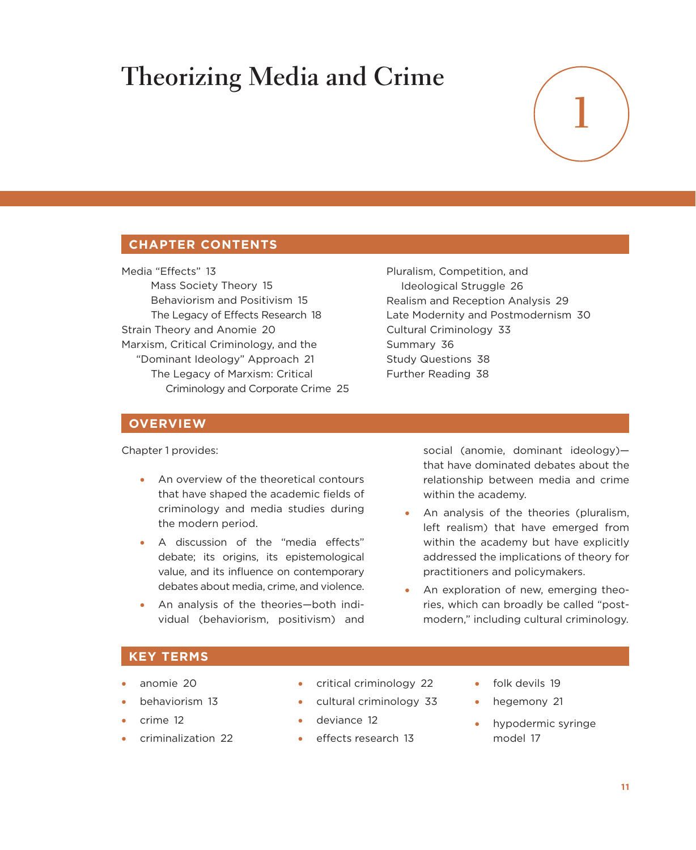# **Theorizing Media and Crime**



# **CHAPTER CONTENTS**

Media "Effects" 13 Mass Society Theory 15 Behaviorism and Positivism 15 The Legacy of Effects Research 18 Strain Theory and Anomie 20 Marxism, Critical Criminology, and the "Dominant Ideology" Approach 21 The Legacy of Marxism: Critical Criminology and Corporate Crime 25

Pluralism, Competition, and Ideological Struggle 26 Realism and Reception Analysis 29 Late Modernity and Postmodernism 30 Cultural Criminology 33 Summary 36 Study Questions 38 Further Reading 38

## **OVERVIEW**

Chapter 1 provides:

- An overview of the theoretical contours that have shaped the academic fields of criminology and media studies during the modern period.
- A discussion of the "media effects" debate; its origins, its epistemological value, and its influence on contemporary debates about media, crime, and violence.
- An analysis of the theories—both individual (behaviorism, positivism) and

social (anomie, dominant ideology) that have dominated debates about the relationship between media and crime within the academy.

- An analysis of the theories (pluralism, left realism) that have emerged from within the academy but have explicitly addressed the implications of theory for practitioners and policymakers.
- An exploration of new, emerging theories, which can broadly be called "postmodern," including cultural criminology.

## **KEY TERMS**

- anomie 20
- behaviorism 13
- crime 12
- criminalization 22
- critical criminology 22
- cultural criminology 33
- deviance 12
- effects research 13
- folk devils 19
- hegemony 21
- hypodermic syringe model 17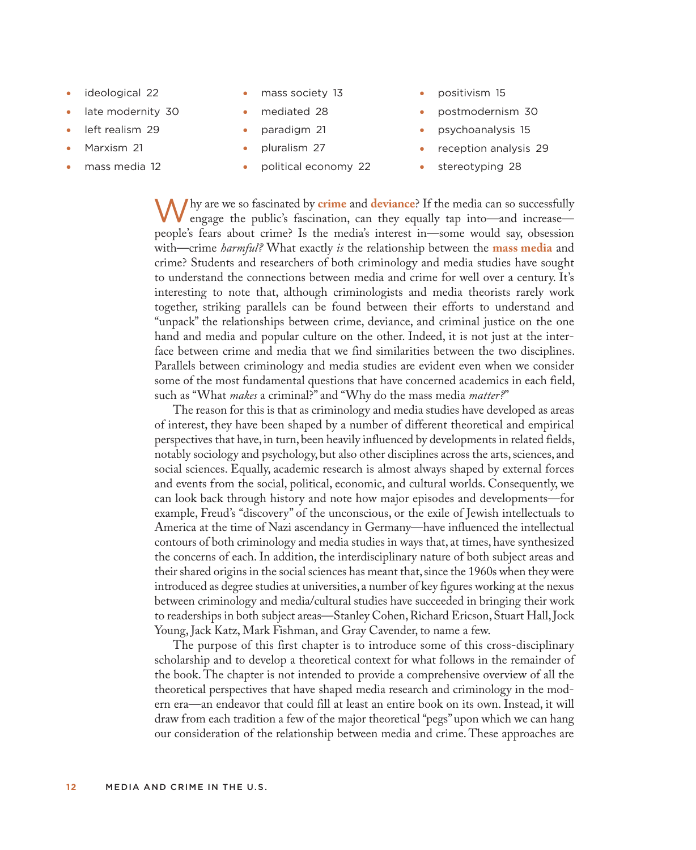- ideological 22
- late modernity 30
- left realism 29
- Marxism 21
- mass media 12
- mass society 13
- mediated 28
- paradigm 21
- pluralism 27
- political economy 22
- positivism 15
- postmodernism 30
- psychoanalysis 15
- reception analysis 29
- stereotyping 28

If hy are we so fascinated by **crime** and **deviance**? If the media can so successfully engage the public's fascination, can they equally tap into—and increase people's fears about crime? Is the media's interest in—some would say, obsession with—crime *harmful?* What exactly *is* the relationship between the **mass media** and crime? Students and researchers of both criminology and media studies have sought to understand the connections between media and crime for well over a century. It's interesting to note that, although criminologists and media theorists rarely work together, striking parallels can be found between their efforts to understand and "unpack" the relationships between crime, deviance, and criminal justice on the one hand and media and popular culture on the other. Indeed, it is not just at the interface between crime and media that we find similarities between the two disciplines. Parallels between criminology and media studies are evident even when we consider some of the most fundamental questions that have concerned academics in each field, such as "What *makes* a criminal?" and "Why do the mass media *matter?*"

The reason for this is that as criminology and media studies have developed as areas of interest, they have been shaped by a number of different theoretical and empirical perspectives that have, in turn, been heavily influenced by developments in related fields, notably sociology and psychology, but also other disciplines across the arts, sciences, and social sciences. Equally, academic research is almost always shaped by external forces and events from the social, political, economic, and cultural worlds. Consequently, we can look back through history and note how major episodes and developments—for example, Freud's "discovery" of the unconscious, or the exile of Jewish intellectuals to America at the time of Nazi ascendancy in Germany—have influenced the intellectual contours of both criminology and media studies in ways that, at times, have synthesized the concerns of each. In addition, the interdisciplinary nature of both subject areas and their shared origins in the social sciences has meant that, since the 1960s when they were introduced as degree studies at universities, a number of key figures working at the nexus between criminology and media/cultural studies have succeeded in bringing their work to readerships in both subject areas—Stanley Cohen, Richard Ericson, Stuart Hall, Jock Young, Jack Katz, Mark Fishman, and Gray Cavender, to name a few.

The purpose of this first chapter is to introduce some of this cross-disciplinary scholarship and to develop a theoretical context for what follows in the remainder of the book. The chapter is not intended to provide a comprehensive overview of all the theoretical perspectives that have shaped media research and criminology in the modern era—an endeavor that could fill at least an entire book on its own. Instead, it will draw from each tradition a few of the major theoretical "pegs" upon which we can hang our consideration of the relationship between media and crime. These approaches are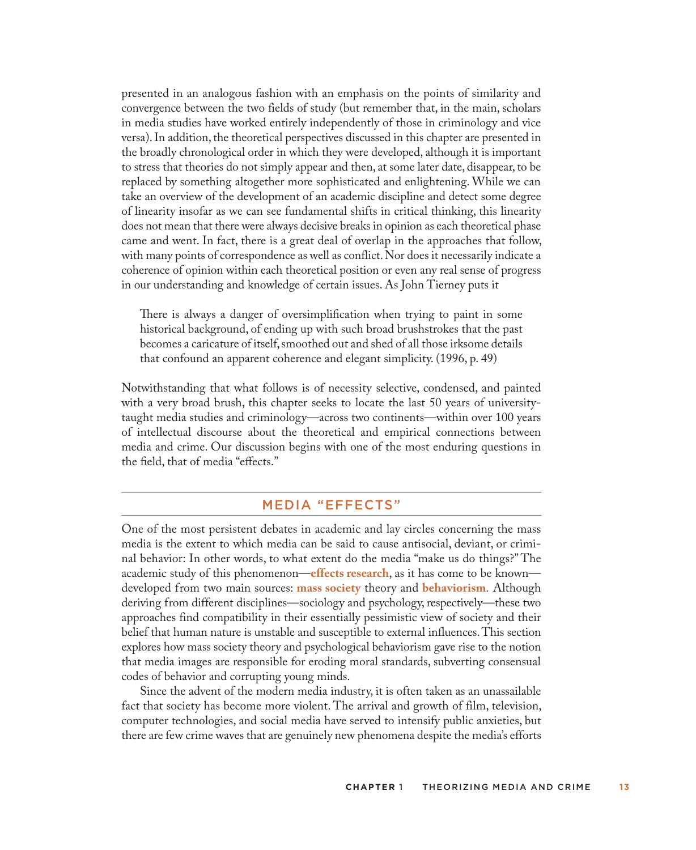presented in an analogous fashion with an emphasis on the points of similarity and convergence between the two fields of study (but remember that, in the main, scholars in media studies have worked entirely independently of those in criminology and vice versa). In addition, the theoretical perspectives discussed in this chapter are presented in the broadly chronological order in which they were developed, although it is important to stress that theories do not simply appear and then, at some later date, disappear, to be replaced by something altogether more sophisticated and enlightening. While we can take an overview of the development of an academic discipline and detect some degree of linearity insofar as we can see fundamental shifts in critical thinking, this linearity does not mean that there were always decisive breaks in opinion as each theoretical phase came and went. In fact, there is a great deal of overlap in the approaches that follow, with many points of correspondence as well as conflict. Nor does it necessarily indicate a coherence of opinion within each theoretical position or even any real sense of progress in our understanding and knowledge of certain issues. As John Tierney puts it

There is always a danger of oversimplification when trying to paint in some historical background, of ending up with such broad brushstrokes that the past becomes a caricature of itself, smoothed out and shed of all those irksome details that confound an apparent coherence and elegant simplicity. (1996, p. 49)

Notwithstanding that what follows is of necessity selective, condensed, and painted with a very broad brush, this chapter seeks to locate the last 50 years of universitytaught media studies and criminology—across two continents—within over 100 years of intellectual discourse about the theoretical and empirical connections between media and crime. Our discussion begins with one of the most enduring questions in the field, that of media "effects."

## MEDIA "EFFECTS"

One of the most persistent debates in academic and lay circles concerning the mass media is the extent to which media can be said to cause antisocial, deviant, or criminal behavior: In other words, to what extent do the media "make us do things?" The academic study of this phenomenon—**effects research**, as it has come to be known developed from two main sources: **mass society** theory and **behaviorism***.* Although deriving from different disciplines—sociology and psychology, respectively—these two approaches find compatibility in their essentially pessimistic view of society and their belief that human nature is unstable and susceptible to external influences. This section explores how mass society theory and psychological behaviorism gave rise to the notion that media images are responsible for eroding moral standards, subverting consensual codes of behavior and corrupting young minds.

Since the advent of the modern media industry, it is often taken as an unassailable fact that society has become more violent. The arrival and growth of film, television, computer technologies, and social media have served to intensify public anxieties, but there are few crime waves that are genuinely new phenomena despite the media's efforts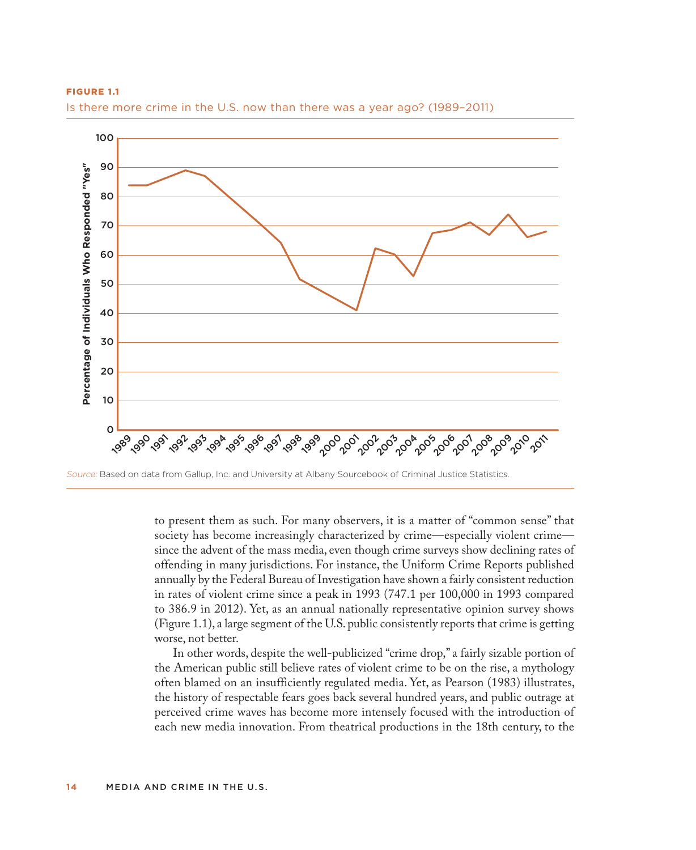

Is there more crime in the U.S. now than there was a year ago? (1989–2011)



Source: Based on data from Gallup, Inc. and University at Albany Sourcebook of Criminal Justice Statistics

to present them as such. For many observers, it is a matter of "common sense" that society has become increasingly characterized by crime—especially violent crime since the advent of the mass media, even though crime surveys show declining rates of offending in many jurisdictions. For instance, the Uniform Crime Reports published annually by the Federal Bureau of Investigation have shown a fairly consistent reduction in rates of violent crime since a peak in 1993 (747.1 per 100,000 in 1993 compared to 386.9 in 2012). Yet, as an annual nationally representative opinion survey shows (Figure 1.1), a large segment of the U.S. public consistently reports that crime is getting worse, not better.

In other words, despite the well-publicized "crime drop," a fairly sizable portion of the American public still believe rates of violent crime to be on the rise, a mythology often blamed on an insufficiently regulated media. Yet, as Pearson (1983) illustrates, the history of respectable fears goes back several hundred years, and public outrage at perceived crime waves has become more intensely focused with the introduction of each new media innovation. From theatrical productions in the 18th century, to the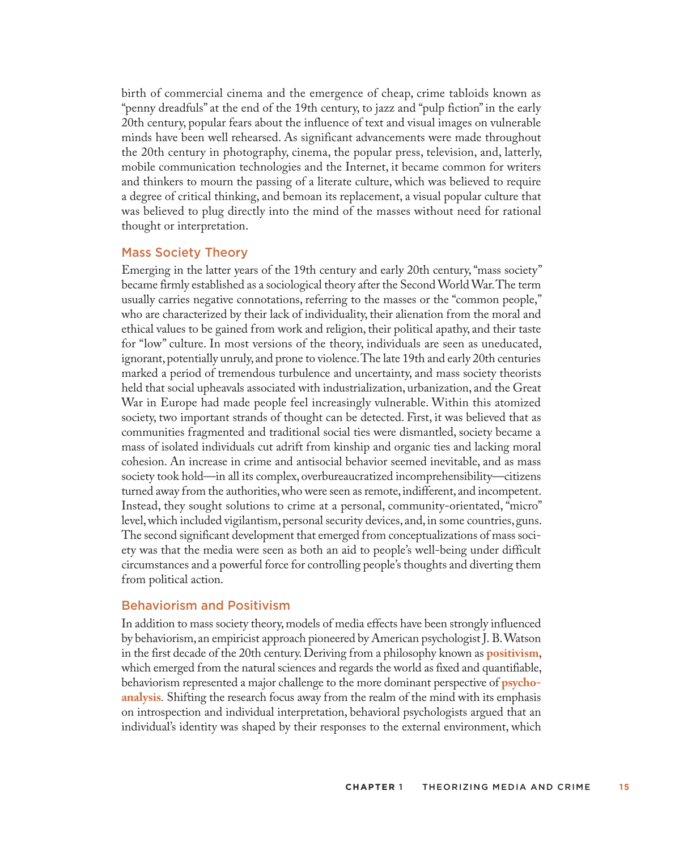birth of commercial cinema and the emergence of cheap, crime tabloids known as "penny dreadfuls" at the end of the 19th century, to jazz and "pulp fiction" in the early 20th century, popular fears about the influence of text and visual images on vulnerable minds have been well rehearsed. As significant advancements were made throughout the 20th century in photography, cinema, the popular press, television, and, latterly, mobile communication technologies and the Internet, it became common for writers and thinkers to mourn the passing of a literate culture, which was believed to require a degree of critical thinking, and bemoan its replacement, a visual popular culture that was believed to plug directly into the mind of the masses without need for rational thought or interpretation.

#### Mass Society Theory

Emerging in the latter years of the 19th century and early 20th century, "mass society" became firmly established as a sociological theory after the Second World War. The term usually carries negative connotations, referring to the masses or the "common people," who are characterized by their lack of individuality, their alienation from the moral and ethical values to be gained from work and religion, their political apathy, and their taste for "low" culture. In most versions of the theory, individuals are seen as uneducated, ignorant, potentially unruly, and prone to violence. The late 19th and early 20th centuries marked a period of tremendous turbulence and uncertainty, and mass society theorists held that social upheavals associated with industrialization, urbanization, and the Great War in Europe had made people feel increasingly vulnerable. Within this atomized society, two important strands of thought can be detected. First, it was believed that as communities fragmented and traditional social ties were dismantled, society became a mass of isolated individuals cut adrift from kinship and organic ties and lacking moral cohesion. An increase in crime and antisocial behavior seemed inevitable, and as mass society took hold—in all its complex, overbureaucratized incomprehensibility—citizens turned away from the authorities, who were seen as remote, indifferent, and incompetent. Instead, they sought solutions to crime at a personal, community-orientated, "micro" level, which included vigilantism, personal security devices, and, in some countries, guns. The second significant development that emerged from conceptualizations of mass society was that the media were seen as both an aid to people's well-being under difficult circumstances and a powerful force for controlling people's thoughts and diverting them from political action.

#### Behaviorism and Positivism

In addition to mass society theory, models of media effects have been strongly influenced by behaviorism, an empiricist approach pioneered by American psychologist J. B. Watson in the first decade of the 20th century. Deriving from a philosophy known as **positivism**, which emerged from the natural sciences and regards the world as fixed and quantifiable, behaviorism represented a major challenge to the more dominant perspective of **psychoanalysis***.* Shifting the research focus away from the realm of the mind with its emphasis on introspection and individual interpretation, behavioral psychologists argued that an individual's identity was shaped by their responses to the external environment, which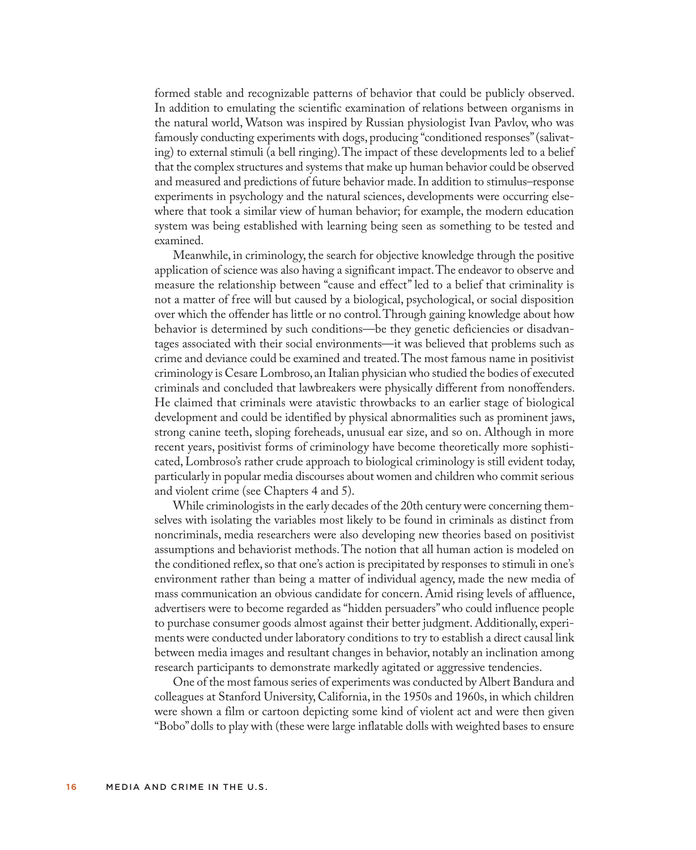formed stable and recognizable patterns of behavior that could be publicly observed. In addition to emulating the scientific examination of relations between organisms in the natural world, Watson was inspired by Russian physiologist Ivan Pavlov, who was famously conducting experiments with dogs, producing "conditioned responses" (salivating) to external stimuli (a bell ringing). The impact of these developments led to a belief that the complex structures and systems that make up human behavior could be observed and measured and predictions of future behavior made. In addition to stimulus–response experiments in psychology and the natural sciences, developments were occurring elsewhere that took a similar view of human behavior; for example, the modern education system was being established with learning being seen as something to be tested and examined.

Meanwhile, in criminology, the search for objective knowledge through the positive application of science was also having a significant impact. The endeavor to observe and measure the relationship between "cause and effect" led to a belief that criminality is not a matter of free will but caused by a biological, psychological, or social disposition over which the offender has little or no control. Through gaining knowledge about how behavior is determined by such conditions—be they genetic deficiencies or disadvantages associated with their social environments—it was believed that problems such as crime and deviance could be examined and treated. The most famous name in positivist criminology is Cesare Lombroso, an Italian physician who studied the bodies of executed criminals and concluded that lawbreakers were physically different from nonoffenders. He claimed that criminals were atavistic throwbacks to an earlier stage of biological development and could be identified by physical abnormalities such as prominent jaws, strong canine teeth, sloping foreheads, unusual ear size, and so on. Although in more recent years, positivist forms of criminology have become theoretically more sophisticated, Lombroso's rather crude approach to biological criminology is still evident today, particularly in popular media discourses about women and children who commit serious and violent crime (see Chapters 4 and 5).

While criminologists in the early decades of the 20th century were concerning themselves with isolating the variables most likely to be found in criminals as distinct from noncriminals, media researchers were also developing new theories based on positivist assumptions and behaviorist methods. The notion that all human action is modeled on the conditioned reflex, so that one's action is precipitated by responses to stimuli in one's environment rather than being a matter of individual agency, made the new media of mass communication an obvious candidate for concern. Amid rising levels of affluence, advertisers were to become regarded as "hidden persuaders" who could influence people to purchase consumer goods almost against their better judgment. Additionally, experiments were conducted under laboratory conditions to try to establish a direct causal link between media images and resultant changes in behavior, notably an inclination among research participants to demonstrate markedly agitated or aggressive tendencies.

One of the most famous series of experiments was conducted by Albert Bandura and colleagues at Stanford University, California, in the 1950s and 1960s, in which children were shown a film or cartoon depicting some kind of violent act and were then given "Bobo" dolls to play with (these were large inflatable dolls with weighted bases to ensure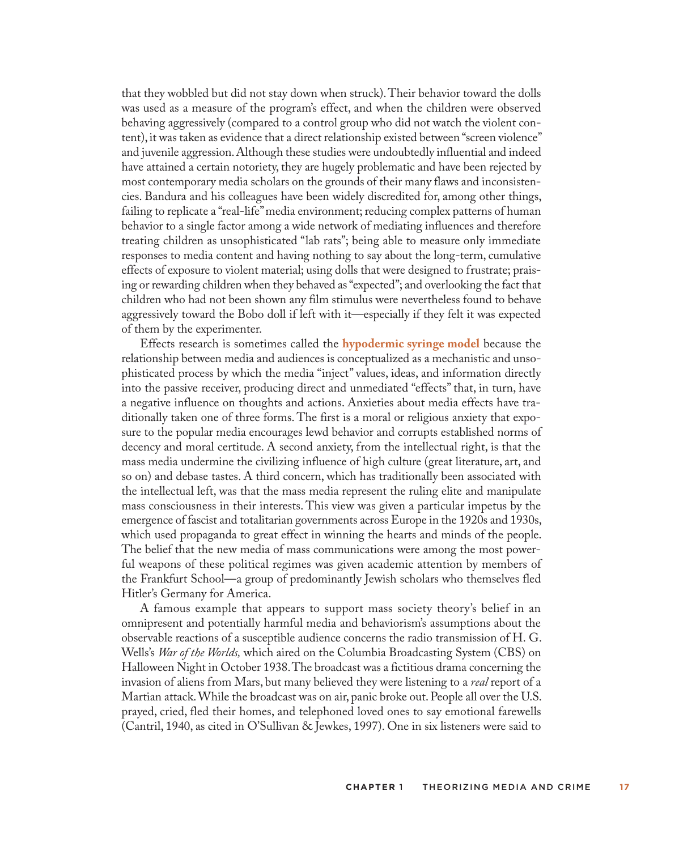that they wobbled but did not stay down when struck). Their behavior toward the dolls was used as a measure of the program's effect, and when the children were observed behaving aggressively (compared to a control group who did not watch the violent content), it was taken as evidence that a direct relationship existed between "screen violence" and juvenile aggression. Although these studies were undoubtedly influential and indeed have attained a certain notoriety, they are hugely problematic and have been rejected by most contemporary media scholars on the grounds of their many flaws and inconsistencies. Bandura and his colleagues have been widely discredited for, among other things, failing to replicate a "real-life" media environment; reducing complex patterns of human behavior to a single factor among a wide network of mediating influences and therefore treating children as unsophisticated "lab rats"; being able to measure only immediate responses to media content and having nothing to say about the long-term, cumulative effects of exposure to violent material; using dolls that were designed to frustrate; praising or rewarding children when they behaved as "expected"; and overlooking the fact that children who had not been shown any film stimulus were nevertheless found to behave aggressively toward the Bobo doll if left with it—especially if they felt it was expected of them by the experimenter.

Effects research is sometimes called the **hypodermic syringe model** because the relationship between media and audiences is conceptualized as a mechanistic and unsophisticated process by which the media "inject" values, ideas, and information directly into the passive receiver, producing direct and unmediated "effects" that, in turn, have a negative influence on thoughts and actions. Anxieties about media effects have traditionally taken one of three forms. The first is a moral or religious anxiety that exposure to the popular media encourages lewd behavior and corrupts established norms of decency and moral certitude. A second anxiety, from the intellectual right, is that the mass media undermine the civilizing influence of high culture (great literature, art, and so on) and debase tastes. A third concern, which has traditionally been associated with the intellectual left, was that the mass media represent the ruling elite and manipulate mass consciousness in their interests. This view was given a particular impetus by the emergence of fascist and totalitarian governments across Europe in the 1920s and 1930s, which used propaganda to great effect in winning the hearts and minds of the people. The belief that the new media of mass communications were among the most powerful weapons of these political regimes was given academic attention by members of the Frankfurt School—a group of predominantly Jewish scholars who themselves fled Hitler's Germany for America.

A famous example that appears to support mass society theory's belief in an omnipresent and potentially harmful media and behaviorism's assumptions about the observable reactions of a susceptible audience concerns the radio transmission of H. G. Wells's *War of the Worlds,* which aired on the Columbia Broadcasting System (CBS) on Halloween Night in October 1938. The broadcast was a fictitious drama concerning the invasion of aliens from Mars, but many believed they were listening to a *real* report of a Martian attack. While the broadcast was on air, panic broke out. People all over the U.S. prayed, cried, fled their homes, and telephoned loved ones to say emotional farewells (Cantril, 1940, as cited in O'Sullivan & Jewkes, 1997). One in six listeners were said to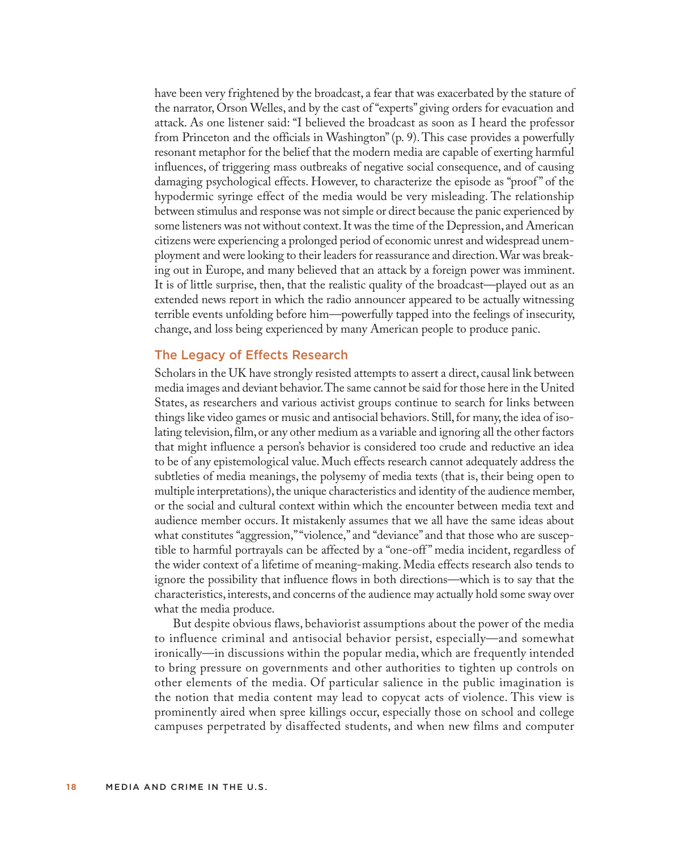have been very frightened by the broadcast, a fear that was exacerbated by the stature of the narrator, Orson Welles, and by the cast of "experts" giving orders for evacuation and attack. As one listener said: "I believed the broadcast as soon as I heard the professor from Princeton and the officials in Washington" (p. 9). This case provides a powerfully resonant metaphor for the belief that the modern media are capable of exerting harmful influences, of triggering mass outbreaks of negative social consequence, and of causing damaging psychological effects. However, to characterize the episode as "proof" of the hypodermic syringe effect of the media would be very misleading. The relationship between stimulus and response was not simple or direct because the panic experienced by some listeners was not without context. It was the time of the Depression, and American citizens were experiencing a prolonged period of economic unrest and widespread unemployment and were looking to their leaders for reassurance and direction. War was breaking out in Europe, and many believed that an attack by a foreign power was imminent. It is of little surprise, then, that the realistic quality of the broadcast—played out as an extended news report in which the radio announcer appeared to be actually witnessing terrible events unfolding before him—powerfully tapped into the feelings of insecurity, change, and loss being experienced by many American people to produce panic.

#### The Legacy of Effects Research

Scholars in the UK have strongly resisted attempts to assert a direct, causal link between media images and deviant behavior. The same cannot be said for those here in the United States, as researchers and various activist groups continue to search for links between things like video games or music and antisocial behaviors. Still, for many, the idea of isolating television, film, or any other medium as a variable and ignoring all the other factors that might influence a person's behavior is considered too crude and reductive an idea to be of any epistemological value. Much effects research cannot adequately address the subtleties of media meanings, the polysemy of media texts (that is, their being open to multiple interpretations), the unique characteristics and identity of the audience member, or the social and cultural context within which the encounter between media text and audience member occurs. It mistakenly assumes that we all have the same ideas about what constitutes "aggression," "violence," and "deviance" and that those who are susceptible to harmful portrayals can be affected by a "one-off " media incident, regardless of the wider context of a lifetime of meaning-making. Media effects research also tends to ignore the possibility that influence flows in both directions—which is to say that the characteristics, interests, and concerns of the audience may actually hold some sway over what the media produce.

But despite obvious flaws, behaviorist assumptions about the power of the media to influence criminal and antisocial behavior persist, especially—and somewhat ironically—in discussions within the popular media, which are frequently intended to bring pressure on governments and other authorities to tighten up controls on other elements of the media. Of particular salience in the public imagination is the notion that media content may lead to copycat acts of violence. This view is prominently aired when spree killings occur, especially those on school and college campuses perpetrated by disaffected students, and when new films and computer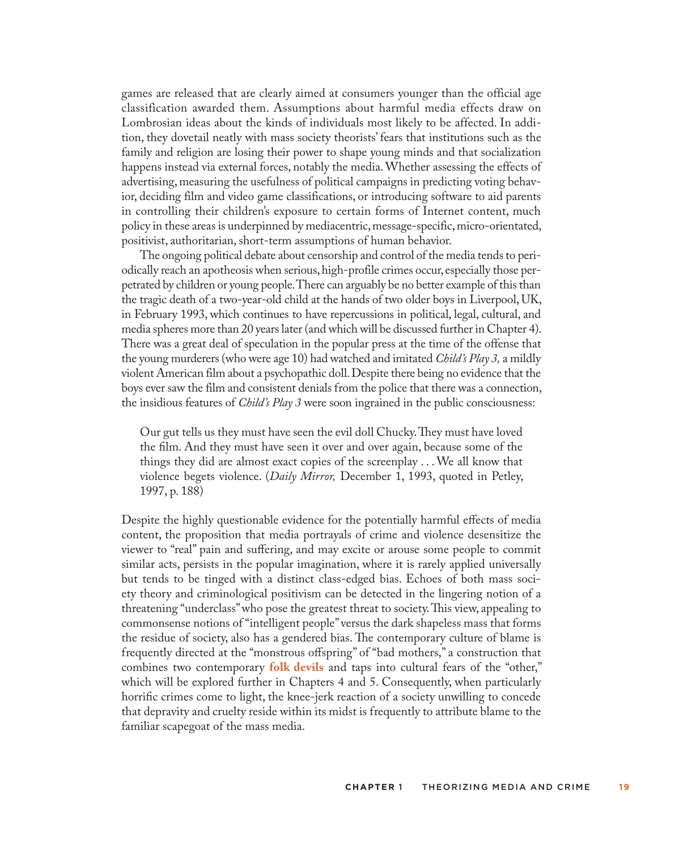games are released that are clearly aimed at consumers younger than the official age classification awarded them. Assumptions about harmful media effects draw on Lombrosian ideas about the kinds of individuals most likely to be affected. In addition, they dovetail neatly with mass society theorists' fears that institutions such as the family and religion are losing their power to shape young minds and that socialization happens instead via external forces, notably the media. Whether assessing the effects of advertising, measuring the usefulness of political campaigns in predicting voting behavior, deciding film and video game classifications, or introducing software to aid parents in controlling their children's exposure to certain forms of Internet content, much policy in these areas is underpinned by mediacentric, message-specific, micro-orientated, positivist, authoritarian, short-term assumptions of human behavior.

The ongoing political debate about censorship and control of the media tends to periodically reach an apotheosis when serious, high-profile crimes occur, especially those perpetrated by children or young people. There can arguably be no better example of this than the tragic death of a two-year-old child at the hands of two older boys in Liverpool, UK, in February 1993, which continues to have repercussions in political, legal, cultural, and media spheres more than 20 years later (and which will be discussed further in Chapter 4). There was a great deal of speculation in the popular press at the time of the offense that the young murderers (who were age 10) had watched and imitated *Child's Play 3,* a mildly violent American film about a psychopathic doll. Despite there being no evidence that the boys ever saw the film and consistent denials from the police that there was a connection, the insidious features of *Child's Play 3* were soon ingrained in the public consciousness:

Our gut tells us they must have seen the evil doll Chucky. They must have loved the film. And they must have seen it over and over again, because some of the things they did are almost exact copies of the screenplay . . .We all know that violence begets violence. (*Daily Mirror,* December 1, 1993, quoted in Petley, 1997, p. 188)

Despite the highly questionable evidence for the potentially harmful effects of media content, the proposition that media portrayals of crime and violence desensitize the viewer to "real" pain and suffering, and may excite or arouse some people to commit similar acts, persists in the popular imagination, where it is rarely applied universally but tends to be tinged with a distinct class-edged bias. Echoes of both mass society theory and criminological positivism can be detected in the lingering notion of a threatening "underclass" who pose the greatest threat to society. This view, appealing to commonsense notions of "intelligent people" versus the dark shapeless mass that forms the residue of society, also has a gendered bias. The contemporary culture of blame is frequently directed at the "monstrous offspring" of "bad mothers," a construction that combines two contemporary **folk devils** and taps into cultural fears of the "other," which will be explored further in Chapters 4 and 5. Consequently, when particularly horrific crimes come to light, the knee-jerk reaction of a society unwilling to concede that depravity and cruelty reside within its midst is frequently to attribute blame to the familiar scapegoat of the mass media.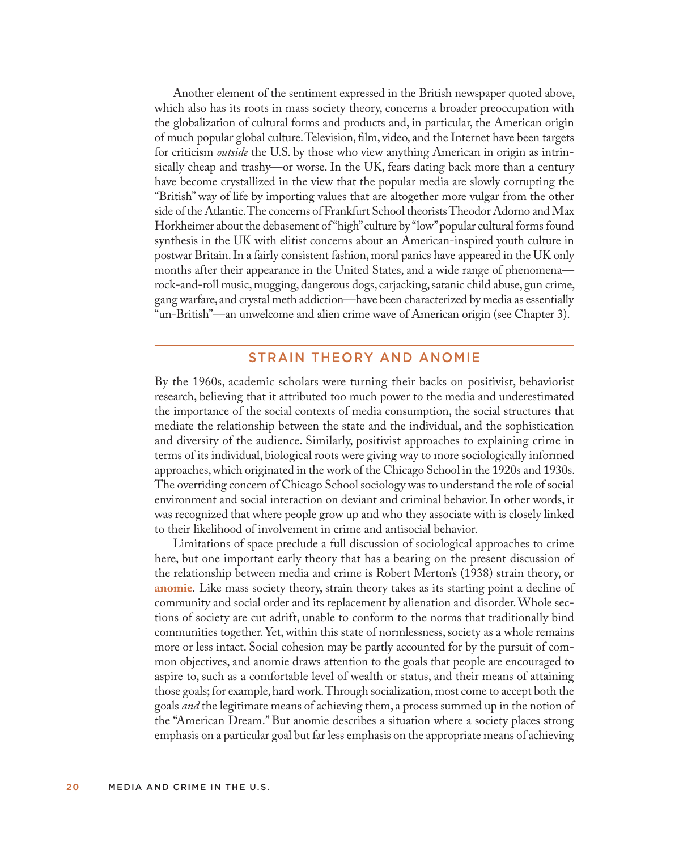Another element of the sentiment expressed in the British newspaper quoted above, which also has its roots in mass society theory, concerns a broader preoccupation with the globalization of cultural forms and products and, in particular, the American origin of much popular global culture. Television, film, video, and the Internet have been targets for criticism *outside* the U.S. by those who view anything American in origin as intrinsically cheap and trashy—or worse. In the UK, fears dating back more than a century have become crystallized in the view that the popular media are slowly corrupting the "British" way of life by importing values that are altogether more vulgar from the other side of the Atlantic. The concerns of Frankfurt School theorists Theodor Adorno and Max Horkheimer about the debasement of "high" culture by "low" popular cultural forms found synthesis in the UK with elitist concerns about an American-inspired youth culture in postwar Britain. In a fairly consistent fashion, moral panics have appeared in the UK only months after their appearance in the United States, and a wide range of phenomena rock-and-roll music, mugging, dangerous dogs, carjacking, satanic child abuse, gun crime, gang warfare, and crystal meth addiction—have been characterized by media as essentially "un-British"—an unwelcome and alien crime wave of American origin (see Chapter 3).

## STRAIN THEORY AND ANOMIE

By the 1960s, academic scholars were turning their backs on positivist, behaviorist research, believing that it attributed too much power to the media and underestimated the importance of the social contexts of media consumption, the social structures that mediate the relationship between the state and the individual, and the sophistication and diversity of the audience. Similarly, positivist approaches to explaining crime in terms of its individual, biological roots were giving way to more sociologically informed approaches, which originated in the work of the Chicago School in the 1920s and 1930s. The overriding concern of Chicago School sociology was to understand the role of social environment and social interaction on deviant and criminal behavior. In other words, it was recognized that where people grow up and who they associate with is closely linked to their likelihood of involvement in crime and antisocial behavior.

Limitations of space preclude a full discussion of sociological approaches to crime here, but one important early theory that has a bearing on the present discussion of the relationship between media and crime is Robert Merton's (1938) strain theory, or **anomie***.* Like mass society theory, strain theory takes as its starting point a decline of community and social order and its replacement by alienation and disorder. Whole sections of society are cut adrift, unable to conform to the norms that traditionally bind communities together. Yet, within this state of normlessness, society as a whole remains more or less intact. Social cohesion may be partly accounted for by the pursuit of common objectives, and anomie draws attention to the goals that people are encouraged to aspire to, such as a comfortable level of wealth or status, and their means of attaining those goals; for example, hard work. Through socialization, most come to accept both the goals *and* the legitimate means of achieving them, a process summed up in the notion of the "American Dream." But anomie describes a situation where a society places strong emphasis on a particular goal but far less emphasis on the appropriate means of achieving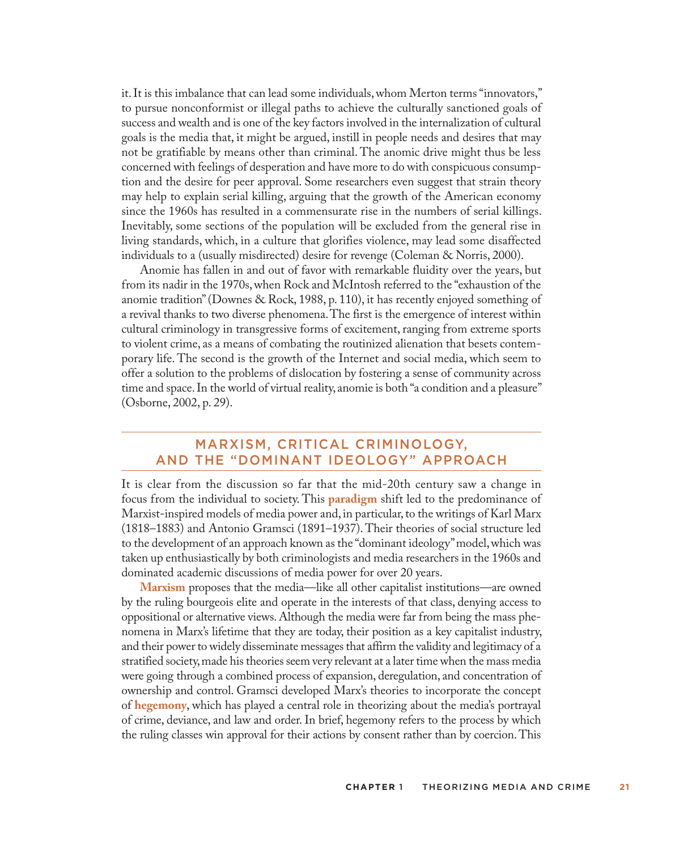it. It is this imbalance that can lead some individuals, whom Merton terms "innovators," to pursue nonconformist or illegal paths to achieve the culturally sanctioned goals of success and wealth and is one of the key factors involved in the internalization of cultural goals is the media that, it might be argued, instill in people needs and desires that may not be gratifiable by means other than criminal. The anomic drive might thus be less concerned with feelings of desperation and have more to do with conspicuous consumption and the desire for peer approval. Some researchers even suggest that strain theory may help to explain serial killing, arguing that the growth of the American economy since the 1960s has resulted in a commensurate rise in the numbers of serial killings. Inevitably, some sections of the population will be excluded from the general rise in living standards, which, in a culture that glorifies violence, may lead some disaffected individuals to a (usually misdirected) desire for revenge (Coleman & Norris, 2000).

Anomie has fallen in and out of favor with remarkable fluidity over the years, but from its nadir in the 1970s, when Rock and McIntosh referred to the "exhaustion of the anomie tradition" (Downes & Rock, 1988, p. 110), it has recently enjoyed something of a revival thanks to two diverse phenomena. The first is the emergence of interest within cultural criminology in transgressive forms of excitement, ranging from extreme sports to violent crime, as a means of combating the routinized alienation that besets contemporary life. The second is the growth of the Internet and social media, which seem to offer a solution to the problems of dislocation by fostering a sense of community across time and space. In the world of virtual reality, anomie is both "a condition and a pleasure" (Osborne, 2002, p. 29).

# MARXISM, CRITICAL CRIMINOLOGY, AND THE "DOMINANT IDEOLOGY" APPROACH

It is clear from the discussion so far that the mid-20th century saw a change in focus from the individual to society. This **paradigm** shift led to the predominance of Marxist-inspired models of media power and, in particular, to the writings of Karl Marx (1818–1883) and Antonio Gramsci (1891–1937). Their theories of social structure led to the development of an approach known as the "dominant ideology" model, which was taken up enthusiastically by both criminologists and media researchers in the 1960s and dominated academic discussions of media power for over 20 years.

**Marxism** proposes that the media—like all other capitalist institutions—are owned by the ruling bourgeois elite and operate in the interests of that class, denying access to oppositional or alternative views. Although the media were far from being the mass phenomena in Marx's lifetime that they are today, their position as a key capitalist industry, and their power to widely disseminate messages that affirm the validity and legitimacy of a stratified society, made his theories seem very relevant at a later time when the mass media were going through a combined process of expansion, deregulation, and concentration of ownership and control. Gramsci developed Marx's theories to incorporate the concept of **hegemony**, which has played a central role in theorizing about the media's portrayal of crime, deviance, and law and order. In brief, hegemony refers to the process by which the ruling classes win approval for their actions by consent rather than by coercion. This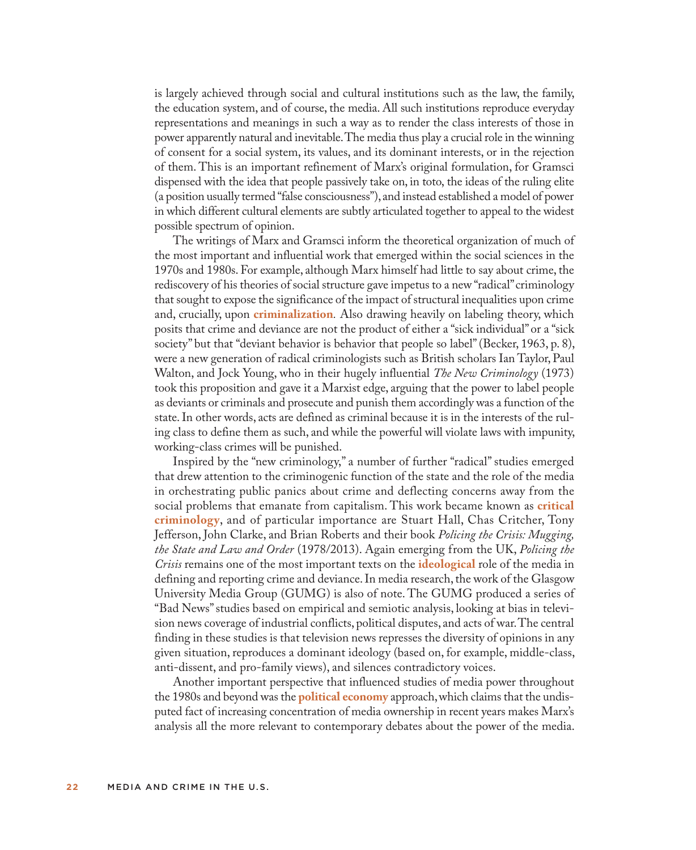is largely achieved through social and cultural institutions such as the law, the family, the education system, and of course, the media. All such institutions reproduce everyday representations and meanings in such a way as to render the class interests of those in power apparently natural and inevitable. The media thus play a crucial role in the winning of consent for a social system, its values, and its dominant interests, or in the rejection of them. This is an important refinement of Marx's original formulation, for Gramsci dispensed with the idea that people passively take on, in toto, the ideas of the ruling elite (a position usually termed "false consciousness"), and instead established a model of power in which different cultural elements are subtly articulated together to appeal to the widest possible spectrum of opinion.

The writings of Marx and Gramsci inform the theoretical organization of much of the most important and influential work that emerged within the social sciences in the 1970s and 1980s. For example, although Marx himself had little to say about crime, the rediscovery of his theories of social structure gave impetus to a new "radical" criminology that sought to expose the significance of the impact of structural inequalities upon crime and, crucially, upon **criminalization***.* Also drawing heavily on labeling theory, which posits that crime and deviance are not the product of either a "sick individual" or a "sick society" but that "deviant behavior is behavior that people so label" (Becker, 1963, p. 8), were a new generation of radical criminologists such as British scholars Ian Taylor, Paul Walton, and Jock Young, who in their hugely influential *The New Criminology* (1973) took this proposition and gave it a Marxist edge, arguing that the power to label people as deviants or criminals and prosecute and punish them accordingly was a function of the state. In other words, acts are defined as criminal because it is in the interests of the ruling class to define them as such, and while the powerful will violate laws with impunity, working-class crimes will be punished.

Inspired by the "new criminology," a number of further "radical" studies emerged that drew attention to the criminogenic function of the state and the role of the media in orchestrating public panics about crime and deflecting concerns away from the social problems that emanate from capitalism. This work became known as **critical criminology**, and of particular importance are Stuart Hall, Chas Critcher, Tony Jefferson, John Clarke, and Brian Roberts and their book *Policing the Crisis: Mugging, the State and Law and Order* (1978/2013). Again emerging from the UK, *Policing the Crisis* remains one of the most important texts on the **ideological** role of the media in defining and reporting crime and deviance. In media research, the work of the Glasgow University Media Group (GUMG) is also of note. The GUMG produced a series of "Bad News" studies based on empirical and semiotic analysis, looking at bias in television news coverage of industrial conflicts, political disputes, and acts of war. The central finding in these studies is that television news represses the diversity of opinions in any given situation, reproduces a dominant ideology (based on, for example, middle-class, anti-dissent, and pro-family views), and silences contradictory voices.

Another important perspective that influenced studies of media power throughout the 1980s and beyond was the **political economy** approach, which claims that the undisputed fact of increasing concentration of media ownership in recent years makes Marx's analysis all the more relevant to contemporary debates about the power of the media.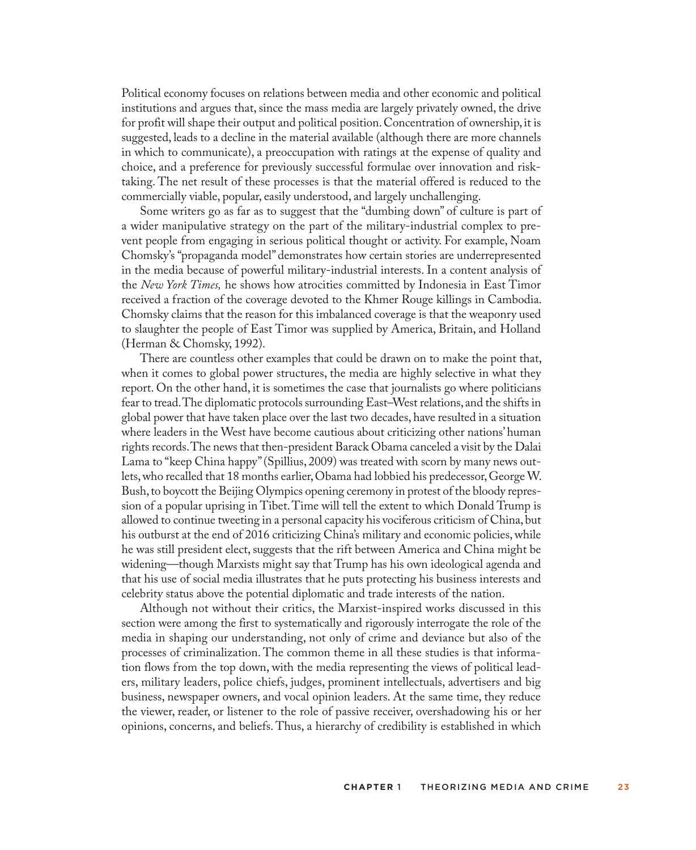Political economy focuses on relations between media and other economic and political institutions and argues that, since the mass media are largely privately owned, the drive for profit will shape their output and political position. Concentration of ownership, it is suggested, leads to a decline in the material available (although there are more channels in which to communicate), a preoccupation with ratings at the expense of quality and choice, and a preference for previously successful formulae over innovation and risktaking. The net result of these processes is that the material offered is reduced to the commercially viable, popular, easily understood, and largely unchallenging.

Some writers go as far as to suggest that the "dumbing down" of culture is part of a wider manipulative strategy on the part of the military-industrial complex to prevent people from engaging in serious political thought or activity. For example, Noam Chomsky's "propaganda model" demonstrates how certain stories are underrepresented in the media because of powerful military-industrial interests. In a content analysis of the *New York Times,* he shows how atrocities committed by Indonesia in East Timor received a fraction of the coverage devoted to the Khmer Rouge killings in Cambodia. Chomsky claims that the reason for this imbalanced coverage is that the weaponry used to slaughter the people of East Timor was supplied by America, Britain, and Holland (Herman & Chomsky, 1992).

There are countless other examples that could be drawn on to make the point that, when it comes to global power structures, the media are highly selective in what they report. On the other hand, it is sometimes the case that journalists go where politicians fear to tread. The diplomatic protocols surrounding East–West relations, and the shifts in global power that have taken place over the last two decades, have resulted in a situation where leaders in the West have become cautious about criticizing other nations' human rights records. The news that then-president Barack Obama canceled a visit by the Dalai Lama to "keep China happy" (Spillius, 2009) was treated with scorn by many news outlets, who recalled that 18 months earlier, Obama had lobbied his predecessor, George W. Bush, to boycott the Beijing Olympics opening ceremony in protest of the bloody repression of a popular uprising in Tibet. Time will tell the extent to which Donald Trump is allowed to continue tweeting in a personal capacity his vociferous criticism of China, but his outburst at the end of 2016 criticizing China's military and economic policies, while he was still president elect, suggests that the rift between America and China might be widening—though Marxists might say that Trump has his own ideological agenda and that his use of social media illustrates that he puts protecting his business interests and celebrity status above the potential diplomatic and trade interests of the nation.

Although not without their critics, the Marxist-inspired works discussed in this section were among the first to systematically and rigorously interrogate the role of the media in shaping our understanding, not only of crime and deviance but also of the processes of criminalization. The common theme in all these studies is that information flows from the top down, with the media representing the views of political leaders, military leaders, police chiefs, judges, prominent intellectuals, advertisers and big business, newspaper owners, and vocal opinion leaders. At the same time, they reduce the viewer, reader, or listener to the role of passive receiver, overshadowing his or her opinions, concerns, and beliefs. Thus, a hierarchy of credibility is established in which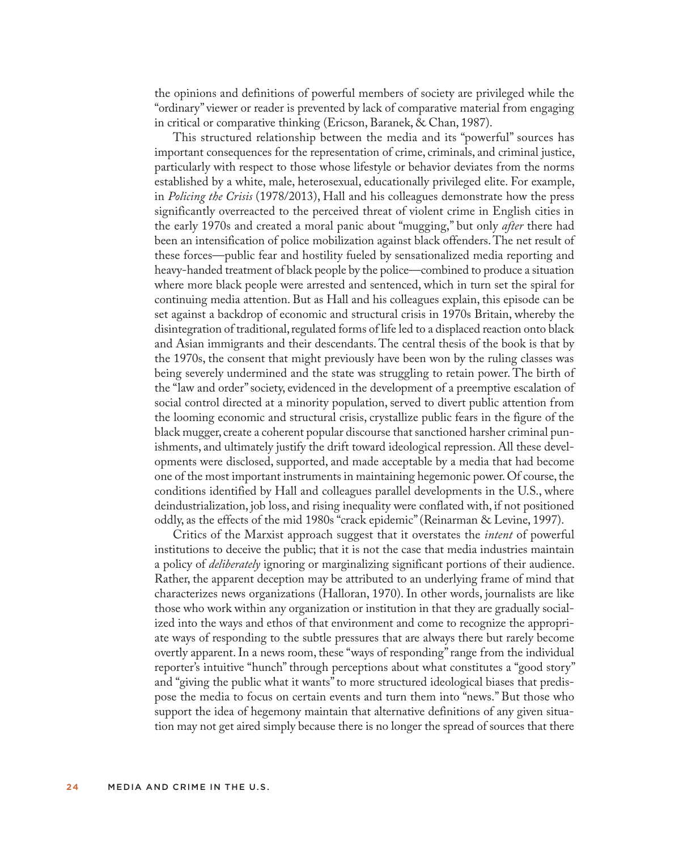the opinions and definitions of powerful members of society are privileged while the "ordinary" viewer or reader is prevented by lack of comparative material from engaging in critical or comparative thinking (Ericson, Baranek, & Chan, 1987).

This structured relationship between the media and its "powerful" sources has important consequences for the representation of crime, criminals, and criminal justice, particularly with respect to those whose lifestyle or behavior deviates from the norms established by a white, male, heterosexual, educationally privileged elite. For example, in *Policing the Crisis* (1978/2013), Hall and his colleagues demonstrate how the press significantly overreacted to the perceived threat of violent crime in English cities in the early 1970s and created a moral panic about "mugging," but only *after* there had been an intensification of police mobilization against black offenders. The net result of these forces—public fear and hostility fueled by sensationalized media reporting and heavy-handed treatment of black people by the police—combined to produce a situation where more black people were arrested and sentenced, which in turn set the spiral for continuing media attention. But as Hall and his colleagues explain, this episode can be set against a backdrop of economic and structural crisis in 1970s Britain, whereby the disintegration of traditional, regulated forms of life led to a displaced reaction onto black and Asian immigrants and their descendants. The central thesis of the book is that by the 1970s, the consent that might previously have been won by the ruling classes was being severely undermined and the state was struggling to retain power. The birth of the "law and order" society, evidenced in the development of a preemptive escalation of social control directed at a minority population, served to divert public attention from the looming economic and structural crisis, crystallize public fears in the figure of the black mugger, create a coherent popular discourse that sanctioned harsher criminal punishments, and ultimately justify the drift toward ideological repression. All these developments were disclosed, supported, and made acceptable by a media that had become one of the most important instruments in maintaining hegemonic power. Of course, the conditions identified by Hall and colleagues parallel developments in the U.S., where deindustrialization, job loss, and rising inequality were conflated with, if not positioned oddly, as the effects of the mid 1980s "crack epidemic" (Reinarman & Levine, 1997).

Critics of the Marxist approach suggest that it overstates the *intent* of powerful institutions to deceive the public; that it is not the case that media industries maintain a policy of *deliberately* ignoring or marginalizing significant portions of their audience. Rather, the apparent deception may be attributed to an underlying frame of mind that characterizes news organizations (Halloran, 1970). In other words, journalists are like those who work within any organization or institution in that they are gradually socialized into the ways and ethos of that environment and come to recognize the appropriate ways of responding to the subtle pressures that are always there but rarely become overtly apparent. In a news room, these "ways of responding" range from the individual reporter's intuitive "hunch" through perceptions about what constitutes a "good story" and "giving the public what it wants" to more structured ideological biases that predispose the media to focus on certain events and turn them into "news." But those who support the idea of hegemony maintain that alternative definitions of any given situation may not get aired simply because there is no longer the spread of sources that there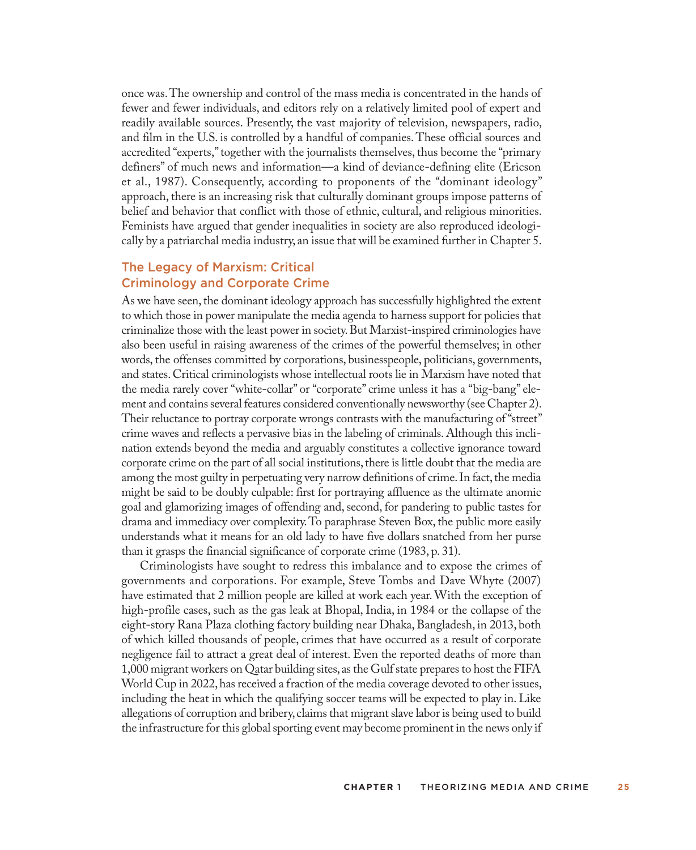once was. The ownership and control of the mass media is concentrated in the hands of fewer and fewer individuals, and editors rely on a relatively limited pool of expert and readily available sources. Presently, the vast majority of television, newspapers, radio, and film in the U.S. is controlled by a handful of companies. These official sources and accredited "experts," together with the journalists themselves, thus become the "primary definers" of much news and information—a kind of deviance-defining elite (Ericson et al., 1987). Consequently, according to proponents of the "dominant ideology" approach, there is an increasing risk that culturally dominant groups impose patterns of belief and behavior that conflict with those of ethnic, cultural, and religious minorities. Feminists have argued that gender inequalities in society are also reproduced ideologically by a patriarchal media industry, an issue that will be examined further in Chapter 5.

## The Legacy of Marxism: Critical Criminology and Corporate Crime

As we have seen, the dominant ideology approach has successfully highlighted the extent to which those in power manipulate the media agenda to harness support for policies that criminalize those with the least power in society. But Marxist-inspired criminologies have also been useful in raising awareness of the crimes of the powerful themselves; in other words, the offenses committed by corporations, businesspeople, politicians, governments, and states. Critical criminologists whose intellectual roots lie in Marxism have noted that the media rarely cover "white-collar" or "corporate" crime unless it has a "big-bang" element and contains several features considered conventionally newsworthy (see Chapter 2). Their reluctance to portray corporate wrongs contrasts with the manufacturing of "street" crime waves and reflects a pervasive bias in the labeling of criminals. Although this inclination extends beyond the media and arguably constitutes a collective ignorance toward corporate crime on the part of all social institutions, there is little doubt that the media are among the most guilty in perpetuating very narrow definitions of crime. In fact, the media might be said to be doubly culpable: first for portraying affluence as the ultimate anomic goal and glamorizing images of offending and, second, for pandering to public tastes for drama and immediacy over complexity. To paraphrase Steven Box, the public more easily understands what it means for an old lady to have five dollars snatched from her purse than it grasps the financial significance of corporate crime (1983, p. 31).

Criminologists have sought to redress this imbalance and to expose the crimes of governments and corporations. For example, Steve Tombs and Dave Whyte (2007) have estimated that 2 million people are killed at work each year. With the exception of high-profile cases, such as the gas leak at Bhopal, India, in 1984 or the collapse of the eight-story Rana Plaza clothing factory building near Dhaka, Bangladesh, in 2013, both of which killed thousands of people, crimes that have occurred as a result of corporate negligence fail to attract a great deal of interest. Even the reported deaths of more than 1,000 migrant workers on Qatar building sites, as the Gulf state prepares to host the FIFA World Cup in 2022, has received a fraction of the media coverage devoted to other issues, including the heat in which the qualifying soccer teams will be expected to play in. Like allegations of corruption and bribery, claims that migrant slave labor is being used to build the infrastructure for this global sporting event may become prominent in the news only if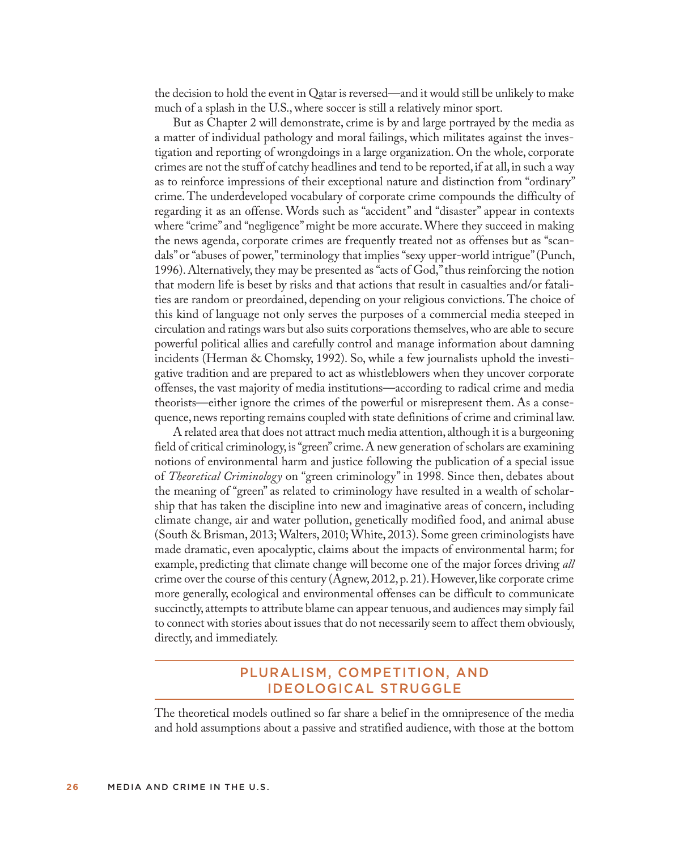the decision to hold the event in Qatar is reversed—and it would still be unlikely to make much of a splash in the U.S., where soccer is still a relatively minor sport.

But as Chapter 2 will demonstrate, crime is by and large portrayed by the media as a matter of individual pathology and moral failings, which militates against the investigation and reporting of wrongdoings in a large organization. On the whole, corporate crimes are not the stuff of catchy headlines and tend to be reported, if at all, in such a way as to reinforce impressions of their exceptional nature and distinction from "ordinary" crime. The underdeveloped vocabulary of corporate crime compounds the difficulty of regarding it as an offense. Words such as "accident" and "disaster" appear in contexts where "crime" and "negligence" might be more accurate. Where they succeed in making the news agenda, corporate crimes are frequently treated not as offenses but as "scandals" or "abuses of power," terminology that implies "sexy upper-world intrigue" (Punch, 1996). Alternatively, they may be presented as "acts of God," thus reinforcing the notion that modern life is beset by risks and that actions that result in casualties and/or fatalities are random or preordained, depending on your religious convictions. The choice of this kind of language not only serves the purposes of a commercial media steeped in circulation and ratings wars but also suits corporations themselves, who are able to secure powerful political allies and carefully control and manage information about damning incidents (Herman & Chomsky, 1992). So, while a few journalists uphold the investigative tradition and are prepared to act as whistleblowers when they uncover corporate offenses, the vast majority of media institutions—according to radical crime and media theorists—either ignore the crimes of the powerful or misrepresent them. As a consequence, news reporting remains coupled with state definitions of crime and criminal law.

A related area that does not attract much media attention, although it is a burgeoning field of critical criminology, is "green" crime. A new generation of scholars are examining notions of environmental harm and justice following the publication of a special issue of *Theoretical Criminology* on "green criminology" in 1998. Since then, debates about the meaning of "green" as related to criminology have resulted in a wealth of scholarship that has taken the discipline into new and imaginative areas of concern, including climate change, air and water pollution, genetically modified food, and animal abuse (South & Brisman, 2013; Walters, 2010; White, 2013). Some green criminologists have made dramatic, even apocalyptic, claims about the impacts of environmental harm; for example, predicting that climate change will become one of the major forces driving *all* crime over the course of this century (Agnew, 2012, p. 21). However, like corporate crime more generally, ecological and environmental offenses can be difficult to communicate succinctly, attempts to attribute blame can appear tenuous, and audiences may simply fail to connect with stories about issues that do not necessarily seem to affect them obviously, directly, and immediately.

# PLURALISM, COMPETITION, AND IDEOLOGICAL STRUGGLE

The theoretical models outlined so far share a belief in the omnipresence of the media and hold assumptions about a passive and stratified audience, with those at the bottom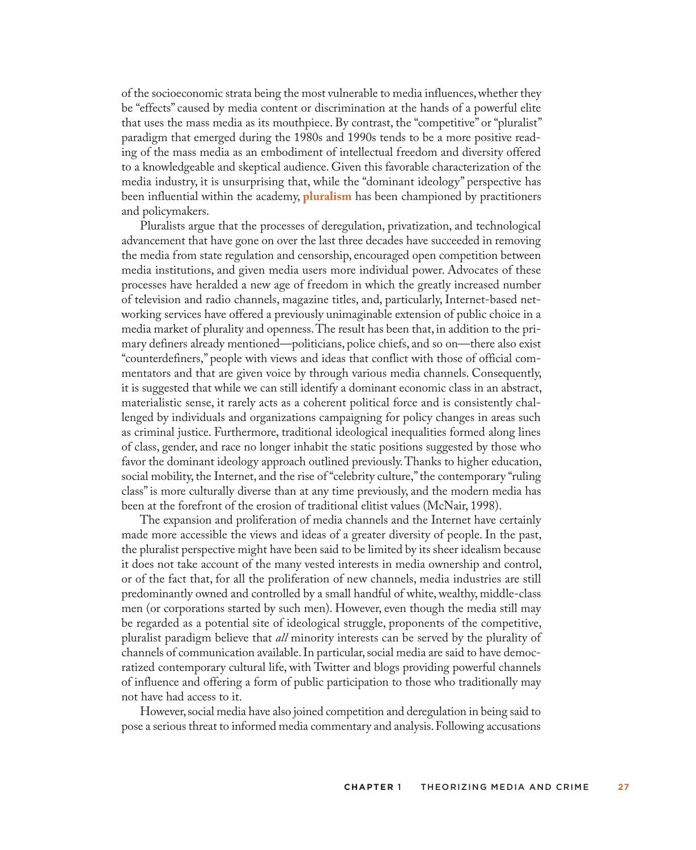of the socioeconomic strata being the most vulnerable to media influences, whether they be "effects" caused by media content or discrimination at the hands of a powerful elite that uses the mass media as its mouthpiece. By contrast, the "competitive" or "pluralist" paradigm that emerged during the 1980s and 1990s tends to be a more positive reading of the mass media as an embodiment of intellectual freedom and diversity offered to a knowledgeable and skeptical audience. Given this favorable characterization of the media industry, it is unsurprising that, while the "dominant ideology" perspective has been influential within the academy, **pluralism** has been championed by practitioners and policymakers.

Pluralists argue that the processes of deregulation, privatization, and technological advancement that have gone on over the last three decades have succeeded in removing the media from state regulation and censorship, encouraged open competition between media institutions, and given media users more individual power. Advocates of these processes have heralded a new age of freedom in which the greatly increased number of television and radio channels, magazine titles, and, particularly, Internet-based networking services have offered a previously unimaginable extension of public choice in a media market of plurality and openness. The result has been that, in addition to the primary definers already mentioned—politicians, police chiefs, and so on—there also exist "counterdefiners," people with views and ideas that conflict with those of official commentators and that are given voice by through various media channels. Consequently, it is suggested that while we can still identify a dominant economic class in an abstract, materialistic sense, it rarely acts as a coherent political force and is consistently challenged by individuals and organizations campaigning for policy changes in areas such as criminal justice. Furthermore, traditional ideological inequalities formed along lines of class, gender, and race no longer inhabit the static positions suggested by those who favor the dominant ideology approach outlined previously. Thanks to higher education, social mobility, the Internet, and the rise of "celebrity culture," the contemporary "ruling class" is more culturally diverse than at any time previously, and the modern media has been at the forefront of the erosion of traditional elitist values (McNair, 1998).

The expansion and proliferation of media channels and the Internet have certainly made more accessible the views and ideas of a greater diversity of people. In the past, the pluralist perspective might have been said to be limited by its sheer idealism because it does not take account of the many vested interests in media ownership and control, or of the fact that, for all the proliferation of new channels, media industries are still predominantly owned and controlled by a small handful of white, wealthy, middle-class men (or corporations started by such men). However, even though the media still may be regarded as a potential site of ideological struggle, proponents of the competitive, pluralist paradigm believe that *all* minority interests can be served by the plurality of channels of communication available. In particular, social media are said to have democratized contemporary cultural life, with Twitter and blogs providing powerful channels of influence and offering a form of public participation to those who traditionally may not have had access to it.

However, social media have also joined competition and deregulation in being said to pose a serious threat to informed media commentary and analysis. Following accusations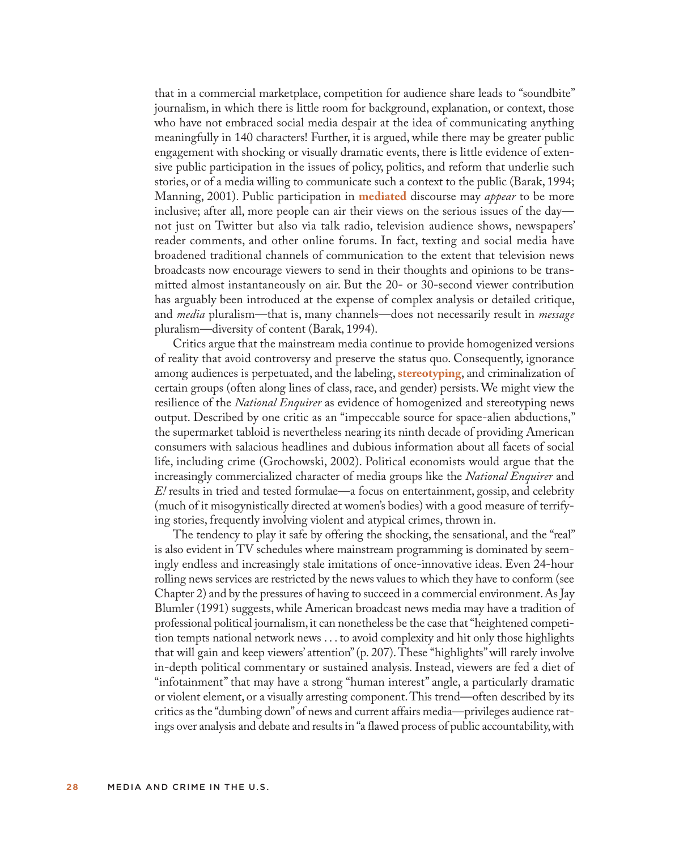that in a commercial marketplace, competition for audience share leads to "soundbite" journalism, in which there is little room for background, explanation, or context, those who have not embraced social media despair at the idea of communicating anything meaningfully in 140 characters! Further, it is argued, while there may be greater public engagement with shocking or visually dramatic events, there is little evidence of extensive public participation in the issues of policy, politics, and reform that underlie such stories, or of a media willing to communicate such a context to the public (Barak, 1994; Manning, 2001). Public participation in **mediated** discourse may *appear* to be more inclusive; after all, more people can air their views on the serious issues of the day not just on Twitter but also via talk radio, television audience shows, newspapers' reader comments, and other online forums. In fact, texting and social media have broadened traditional channels of communication to the extent that television news broadcasts now encourage viewers to send in their thoughts and opinions to be transmitted almost instantaneously on air. But the 20- or 30-second viewer contribution has arguably been introduced at the expense of complex analysis or detailed critique, and *media* pluralism—that is, many channels—does not necessarily result in *message* pluralism—diversity of content (Barak, 1994).

Critics argue that the mainstream media continue to provide homogenized versions of reality that avoid controversy and preserve the status quo. Consequently, ignorance among audiences is perpetuated, and the labeling, **stereotyping**, and criminalization of certain groups (often along lines of class, race, and gender) persists. We might view the resilience of the *National Enquirer* as evidence of homogenized and stereotyping news output. Described by one critic as an "impeccable source for space-alien abductions," the supermarket tabloid is nevertheless nearing its ninth decade of providing American consumers with salacious headlines and dubious information about all facets of social life, including crime (Grochowski, 2002). Political economists would argue that the increasingly commercialized character of media groups like the *National Enquirer* and *E!* results in tried and tested formulae—a focus on entertainment, gossip, and celebrity (much of it misogynistically directed at women's bodies) with a good measure of terrifying stories, frequently involving violent and atypical crimes, thrown in.

The tendency to play it safe by offering the shocking, the sensational, and the "real" is also evident in TV schedules where mainstream programming is dominated by seemingly endless and increasingly stale imitations of once-innovative ideas. Even 24-hour rolling news services are restricted by the news values to which they have to conform (see Chapter 2) and by the pressures of having to succeed in a commercial environment. As Jay Blumler (1991) suggests, while American broadcast news media may have a tradition of professional political journalism, it can nonetheless be the case that "heightened competition tempts national network news . . . to avoid complexity and hit only those highlights that will gain and keep viewers' attention" (p. 207). These "highlights" will rarely involve in-depth political commentary or sustained analysis. Instead, viewers are fed a diet of "infotainment" that may have a strong "human interest" angle, a particularly dramatic or violent element, or a visually arresting component. This trend—often described by its critics as the "dumbing down" of news and current affairs media—privileges audience ratings over analysis and debate and results in "a flawed process of public accountability, with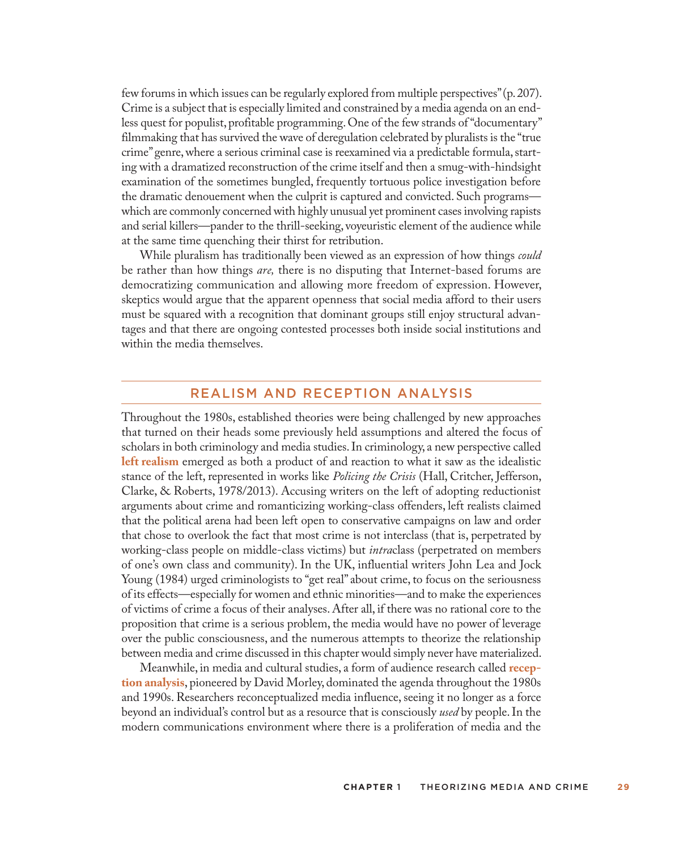few forums in which issues can be regularly explored from multiple perspectives" (p. 207). Crime is a subject that is especially limited and constrained by a media agenda on an endless quest for populist, profitable programming. One of the few strands of "documentary" filmmaking that has survived the wave of deregulation celebrated by pluralists is the "true crime" genre, where a serious criminal case is reexamined via a predictable formula, starting with a dramatized reconstruction of the crime itself and then a smug-with-hindsight examination of the sometimes bungled, frequently tortuous police investigation before the dramatic denouement when the culprit is captured and convicted. Such programs which are commonly concerned with highly unusual yet prominent cases involving rapists and serial killers—pander to the thrill-seeking, voyeuristic element of the audience while at the same time quenching their thirst for retribution.

While pluralism has traditionally been viewed as an expression of how things *could* be rather than how things *are,* there is no disputing that Internet-based forums are democratizing communication and allowing more freedom of expression. However, skeptics would argue that the apparent openness that social media afford to their users must be squared with a recognition that dominant groups still enjoy structural advantages and that there are ongoing contested processes both inside social institutions and within the media themselves.

## REALISM AND RECEPTION ANALYSIS

Throughout the 1980s, established theories were being challenged by new approaches that turned on their heads some previously held assumptions and altered the focus of scholars in both criminology and media studies. In criminology, a new perspective called **left realism** emerged as both a product of and reaction to what it saw as the idealistic stance of the left, represented in works like *Policing the Crisis* (Hall, Critcher, Jefferson, Clarke, & Roberts, 1978/2013). Accusing writers on the left of adopting reductionist arguments about crime and romanticizing working-class offenders, left realists claimed that the political arena had been left open to conservative campaigns on law and order that chose to overlook the fact that most crime is not interclass (that is, perpetrated by working-class people on middle-class victims) but *intra*class (perpetrated on members of one's own class and community). In the UK, influential writers John Lea and Jock Young (1984) urged criminologists to "get real" about crime, to focus on the seriousness of its effects—especially for women and ethnic minorities—and to make the experiences of victims of crime a focus of their analyses. After all, if there was no rational core to the proposition that crime is a serious problem, the media would have no power of leverage over the public consciousness, and the numerous attempts to theorize the relationship between media and crime discussed in this chapter would simply never have materialized.

Meanwhile, in media and cultural studies, a form of audience research called **reception analysis**, pioneered by David Morley, dominated the agenda throughout the 1980s and 1990s. Researchers reconceptualized media influence, seeing it no longer as a force beyond an individual's control but as a resource that is consciously *used* by people. In the modern communications environment where there is a proliferation of media and the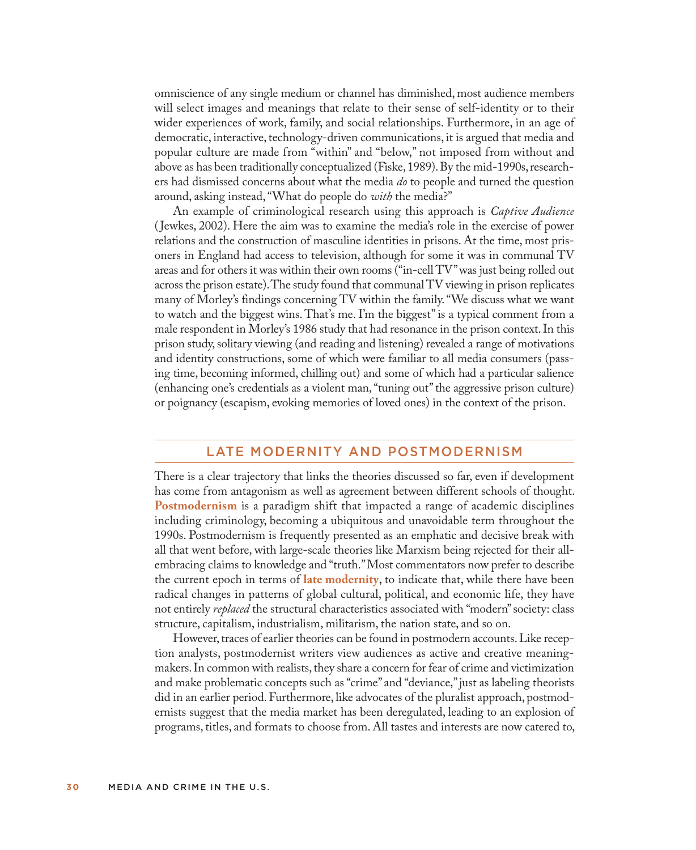omniscience of any single medium or channel has diminished, most audience members will select images and meanings that relate to their sense of self-identity or to their wider experiences of work, family, and social relationships. Furthermore, in an age of democratic, interactive, technology-driven communications, it is argued that media and popular culture are made from "within" and "below," not imposed from without and above as has been traditionally conceptualized (Fiske, 1989). By the mid-1990s, researchers had dismissed concerns about what the media *do* to people and turned the question around, asking instead, "What do people do *with* the media?"

An example of criminological research using this approach is *Captive Audience* (Jewkes, 2002). Here the aim was to examine the media's role in the exercise of power relations and the construction of masculine identities in prisons. At the time, most prisoners in England had access to television, although for some it was in communal TV areas and for others it was within their own rooms ("in-cell TV" was just being rolled out across the prison estate). The study found that communal TV viewing in prison replicates many of Morley's findings concerning TV within the family. "We discuss what we want to watch and the biggest wins. That's me. I'm the biggest" is a typical comment from a male respondent in Morley's 1986 study that had resonance in the prison context. In this prison study, solitary viewing (and reading and listening) revealed a range of motivations and identity constructions, some of which were familiar to all media consumers (passing time, becoming informed, chilling out) and some of which had a particular salience (enhancing one's credentials as a violent man, "tuning out" the aggressive prison culture) or poignancy (escapism, evoking memories of loved ones) in the context of the prison.

## LATE MODERNITY AND POSTMODERNISM

There is a clear trajectory that links the theories discussed so far, even if development has come from antagonism as well as agreement between different schools of thought. **Postmodernism** is a paradigm shift that impacted a range of academic disciplines including criminology, becoming a ubiquitous and unavoidable term throughout the 1990s. Postmodernism is frequently presented as an emphatic and decisive break with all that went before, with large-scale theories like Marxism being rejected for their allembracing claims to knowledge and "truth." Most commentators now prefer to describe the current epoch in terms of **late modernity**, to indicate that, while there have been radical changes in patterns of global cultural, political, and economic life, they have not entirely *replaced* the structural characteristics associated with "modern" society: class structure, capitalism, industrialism, militarism, the nation state, and so on.

However, traces of earlier theories can be found in postmodern accounts. Like reception analysts, postmodernist writers view audiences as active and creative meaningmakers. In common with realists, they share a concern for fear of crime and victimization and make problematic concepts such as "crime" and "deviance," just as labeling theorists did in an earlier period. Furthermore, like advocates of the pluralist approach, postmodernists suggest that the media market has been deregulated, leading to an explosion of programs, titles, and formats to choose from. All tastes and interests are now catered to,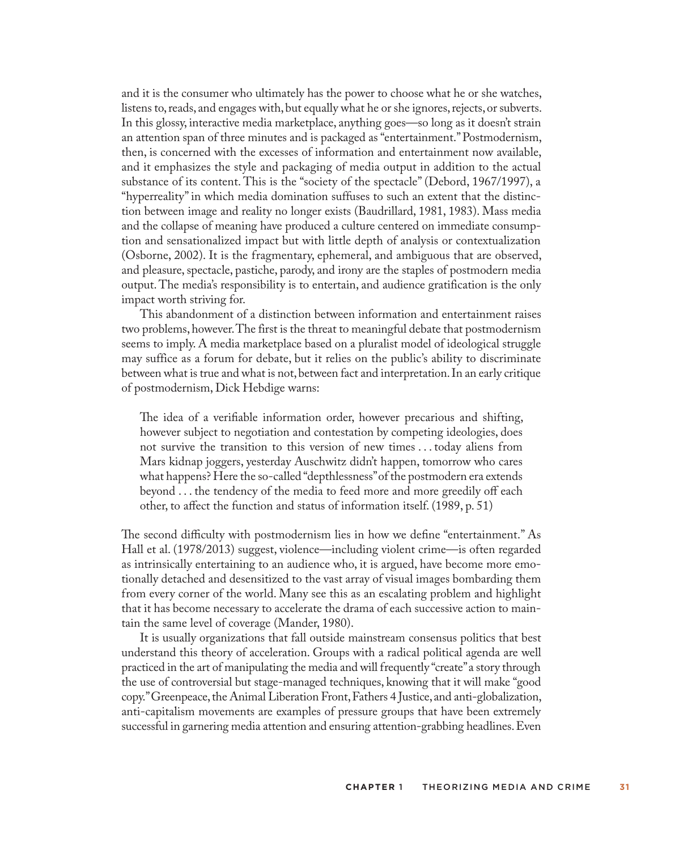and it is the consumer who ultimately has the power to choose what he or she watches, listens to, reads, and engages with, but equally what he or she ignores, rejects, or subverts. In this glossy, interactive media marketplace, anything goes—so long as it doesn't strain an attention span of three minutes and is packaged as "entertainment." Postmodernism, then, is concerned with the excesses of information and entertainment now available, and it emphasizes the style and packaging of media output in addition to the actual substance of its content. This is the "society of the spectacle" (Debord, 1967/1997), a "hyperreality" in which media domination suffuses to such an extent that the distinction between image and reality no longer exists (Baudrillard, 1981, 1983). Mass media and the collapse of meaning have produced a culture centered on immediate consumption and sensationalized impact but with little depth of analysis or contextualization (Osborne, 2002). It is the fragmentary, ephemeral, and ambiguous that are observed, and pleasure, spectacle, pastiche, parody, and irony are the staples of postmodern media output. The media's responsibility is to entertain, and audience gratification is the only impact worth striving for.

This abandonment of a distinction between information and entertainment raises two problems, however. The first is the threat to meaningful debate that postmodernism seems to imply. A media marketplace based on a pluralist model of ideological struggle may suffice as a forum for debate, but it relies on the public's ability to discriminate between what is true and what is not, between fact and interpretation. In an early critique of postmodernism, Dick Hebdige warns:

The idea of a verifiable information order, however precarious and shifting, however subject to negotiation and contestation by competing ideologies, does not survive the transition to this version of new times . . . today aliens from Mars kidnap joggers, yesterday Auschwitz didn't happen, tomorrow who cares what happens? Here the so-called "depthlessness" of the postmodern era extends beyond . . . the tendency of the media to feed more and more greedily off each other, to affect the function and status of information itself. (1989, p. 51)

The second difficulty with postmodernism lies in how we define "entertainment." As Hall et al. (1978/2013) suggest, violence—including violent crime—is often regarded as intrinsically entertaining to an audience who, it is argued, have become more emotionally detached and desensitized to the vast array of visual images bombarding them from every corner of the world. Many see this as an escalating problem and highlight that it has become necessary to accelerate the drama of each successive action to maintain the same level of coverage (Mander, 1980).

It is usually organizations that fall outside mainstream consensus politics that best understand this theory of acceleration. Groups with a radical political agenda are well practiced in the art of manipulating the media and will frequently "create" a story through the use of controversial but stage-managed techniques, knowing that it will make "good copy." Greenpeace, the Animal Liberation Front, Fathers 4 Justice, and anti-globalization, anti-capitalism movements are examples of pressure groups that have been extremely successful in garnering media attention and ensuring attention-grabbing headlines. Even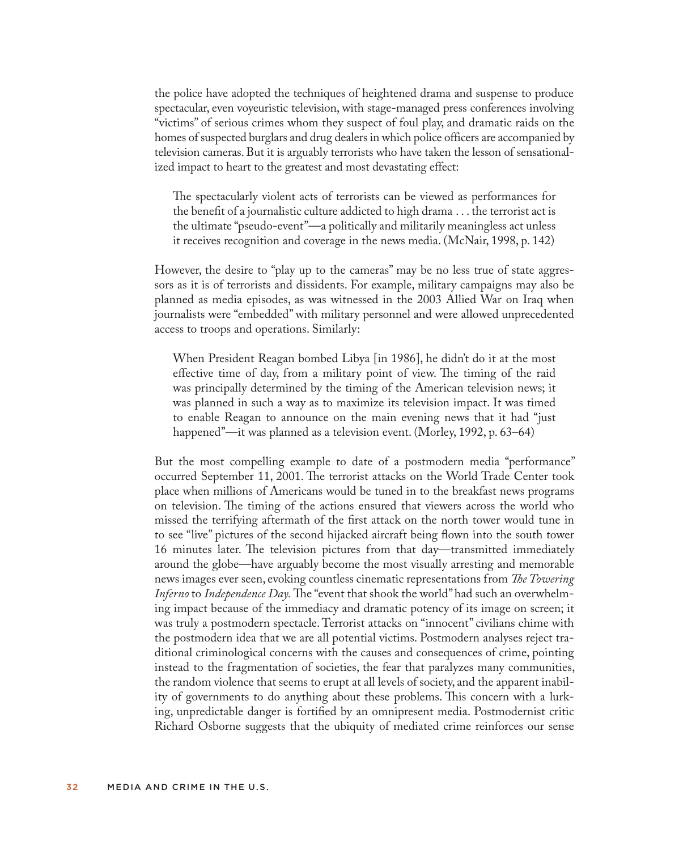the police have adopted the techniques of heightened drama and suspense to produce spectacular, even voyeuristic television, with stage-managed press conferences involving "victims" of serious crimes whom they suspect of foul play, and dramatic raids on the homes of suspected burglars and drug dealers in which police officers are accompanied by television cameras. But it is arguably terrorists who have taken the lesson of sensationalized impact to heart to the greatest and most devastating effect:

The spectacularly violent acts of terrorists can be viewed as performances for the benefit of a journalistic culture addicted to high drama . . . the terrorist act is the ultimate "pseudo-event"—a politically and militarily meaningless act unless it receives recognition and coverage in the news media. (McNair, 1998, p. 142)

However, the desire to "play up to the cameras" may be no less true of state aggressors as it is of terrorists and dissidents. For example, military campaigns may also be planned as media episodes, as was witnessed in the 2003 Allied War on Iraq when journalists were "embedded" with military personnel and were allowed unprecedented access to troops and operations. Similarly:

When President Reagan bombed Libya [in 1986], he didn't do it at the most effective time of day, from a military point of view. The timing of the raid was principally determined by the timing of the American television news; it was planned in such a way as to maximize its television impact. It was timed to enable Reagan to announce on the main evening news that it had "just happened"—it was planned as a television event. (Morley, 1992, p. 63–64)

But the most compelling example to date of a postmodern media "performance" occurred September 11, 2001. The terrorist attacks on the World Trade Center took place when millions of Americans would be tuned in to the breakfast news programs on television. The timing of the actions ensured that viewers across the world who missed the terrifying aftermath of the first attack on the north tower would tune in to see "live" pictures of the second hijacked aircraft being flown into the south tower 16 minutes later. The television pictures from that day—transmitted immediately around the globe—have arguably become the most visually arresting and memorable news images ever seen, evoking countless cinematic representations from *The Towering Inferno* to *Independence Day.* The "event that shook the world" had such an overwhelming impact because of the immediacy and dramatic potency of its image on screen; it was truly a postmodern spectacle. Terrorist attacks on "innocent" civilians chime with the postmodern idea that we are all potential victims. Postmodern analyses reject traditional criminological concerns with the causes and consequences of crime, pointing instead to the fragmentation of societies, the fear that paralyzes many communities, the random violence that seems to erupt at all levels of society, and the apparent inability of governments to do anything about these problems. This concern with a lurking, unpredictable danger is fortified by an omnipresent media. Postmodernist critic Richard Osborne suggests that the ubiquity of mediated crime reinforces our sense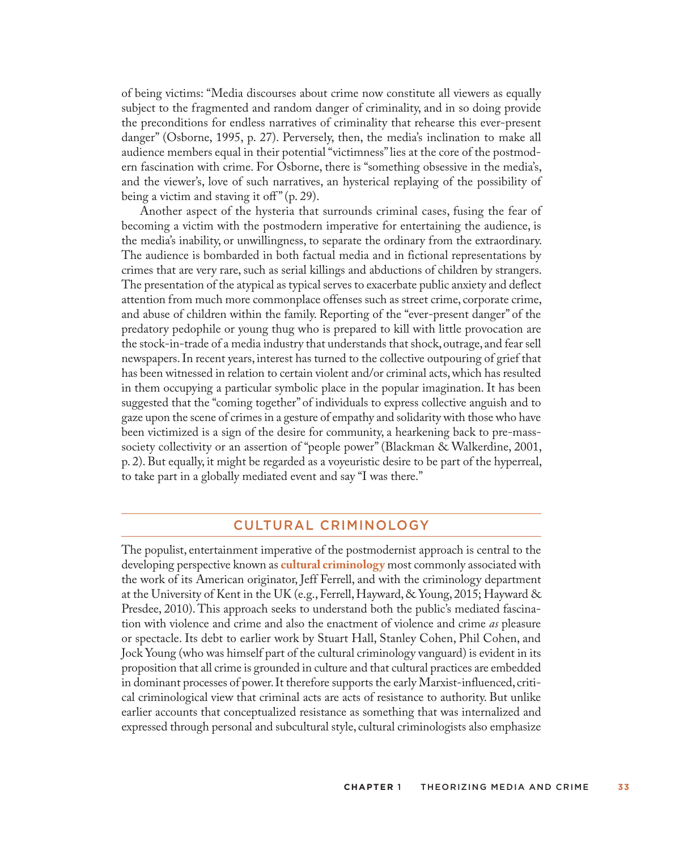of being victims: "Media discourses about crime now constitute all viewers as equally subject to the fragmented and random danger of criminality, and in so doing provide the preconditions for endless narratives of criminality that rehearse this ever-present danger" (Osborne, 1995, p. 27). Perversely, then, the media's inclination to make all audience members equal in their potential "victimness" lies at the core of the postmodern fascination with crime. For Osborne, there is "something obsessive in the media's, and the viewer's, love of such narratives, an hysterical replaying of the possibility of being a victim and staving it off"  $(p. 29)$ .

Another aspect of the hysteria that surrounds criminal cases, fusing the fear of becoming a victim with the postmodern imperative for entertaining the audience, is the media's inability, or unwillingness, to separate the ordinary from the extraordinary. The audience is bombarded in both factual media and in fictional representations by crimes that are very rare, such as serial killings and abductions of children by strangers. The presentation of the atypical as typical serves to exacerbate public anxiety and deflect attention from much more commonplace offenses such as street crime, corporate crime, and abuse of children within the family. Reporting of the "ever-present danger" of the predatory pedophile or young thug who is prepared to kill with little provocation are the stock-in-trade of a media industry that understands that shock, outrage, and fear sell newspapers. In recent years, interest has turned to the collective outpouring of grief that has been witnessed in relation to certain violent and/or criminal acts, which has resulted in them occupying a particular symbolic place in the popular imagination. It has been suggested that the "coming together" of individuals to express collective anguish and to gaze upon the scene of crimes in a gesture of empathy and solidarity with those who have been victimized is a sign of the desire for community, a hearkening back to pre-masssociety collectivity or an assertion of "people power" (Blackman & Walkerdine, 2001, p. 2). But equally, it might be regarded as a voyeuristic desire to be part of the hyperreal, to take part in a globally mediated event and say "I was there."

## CULTURAL CRIMINOLOGY

The populist, entertainment imperative of the postmodernist approach is central to the developing perspective known as **cultural criminology** most commonly associated with the work of its American originator, Jeff Ferrell, and with the criminology department at the University of Kent in the UK (e.g., Ferrell, Hayward, & Young, 2015; Hayward & Presdee, 2010). This approach seeks to understand both the public's mediated fascination with violence and crime and also the enactment of violence and crime *as* pleasure or spectacle. Its debt to earlier work by Stuart Hall, Stanley Cohen, Phil Cohen, and Jock Young (who was himself part of the cultural criminology vanguard) is evident in its proposition that all crime is grounded in culture and that cultural practices are embedded in dominant processes of power. It therefore supports the early Marxist-influenced, critical criminological view that criminal acts are acts of resistance to authority. But unlike earlier accounts that conceptualized resistance as something that was internalized and expressed through personal and subcultural style, cultural criminologists also emphasize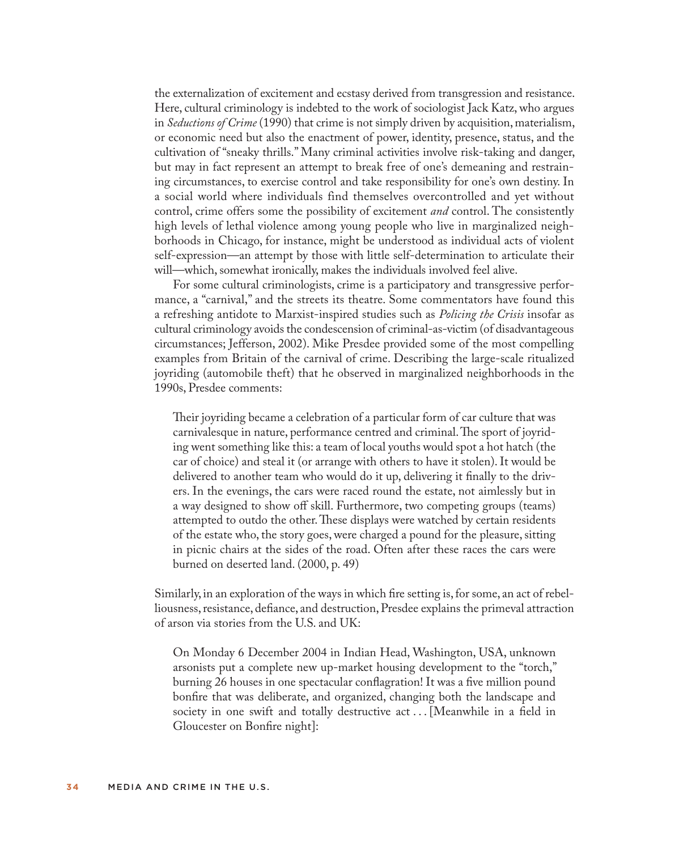the externalization of excitement and ecstasy derived from transgression and resistance. Here, cultural criminology is indebted to the work of sociologist Jack Katz, who argues in *Seductions of Crime* (1990) that crime is not simply driven by acquisition, materialism, or economic need but also the enactment of power, identity, presence, status, and the cultivation of "sneaky thrills." Many criminal activities involve risk-taking and danger, but may in fact represent an attempt to break free of one's demeaning and restraining circumstances, to exercise control and take responsibility for one's own destiny. In a social world where individuals find themselves overcontrolled and yet without control, crime offers some the possibility of excitement *and* control. The consistently high levels of lethal violence among young people who live in marginalized neighborhoods in Chicago, for instance, might be understood as individual acts of violent self-expression—an attempt by those with little self-determination to articulate their will—which, somewhat ironically, makes the individuals involved feel alive.

For some cultural criminologists, crime is a participatory and transgressive performance, a "carnival," and the streets its theatre. Some commentators have found this a refreshing antidote to Marxist-inspired studies such as *Policing the Crisis* insofar as cultural criminology avoids the condescension of criminal-as-victim (of disadvantageous circumstances; Jefferson, 2002). Mike Presdee provided some of the most compelling examples from Britain of the carnival of crime. Describing the large-scale ritualized joyriding (automobile theft) that he observed in marginalized neighborhoods in the 1990s, Presdee comments:

Their joyriding became a celebration of a particular form of car culture that was carnivalesque in nature, performance centred and criminal. The sport of joyriding went something like this: a team of local youths would spot a hot hatch (the car of choice) and steal it (or arrange with others to have it stolen). It would be delivered to another team who would do it up, delivering it finally to the drivers. In the evenings, the cars were raced round the estate, not aimlessly but in a way designed to show off skill. Furthermore, two competing groups (teams) attempted to outdo the other. These displays were watched by certain residents of the estate who, the story goes, were charged a pound for the pleasure, sitting in picnic chairs at the sides of the road. Often after these races the cars were burned on deserted land. (2000, p. 49)

Similarly, in an exploration of the ways in which fire setting is, for some, an act of rebelliousness, resistance, defiance, and destruction, Presdee explains the primeval attraction of arson via stories from the U.S. and UK:

On Monday 6 December 2004 in Indian Head, Washington, USA, unknown arsonists put a complete new up-market housing development to the "torch," burning 26 houses in one spectacular conflagration! It was a five million pound bonfire that was deliberate, and organized, changing both the landscape and society in one swift and totally destructive act... [Meanwhile in a field in Gloucester on Bonfire night]: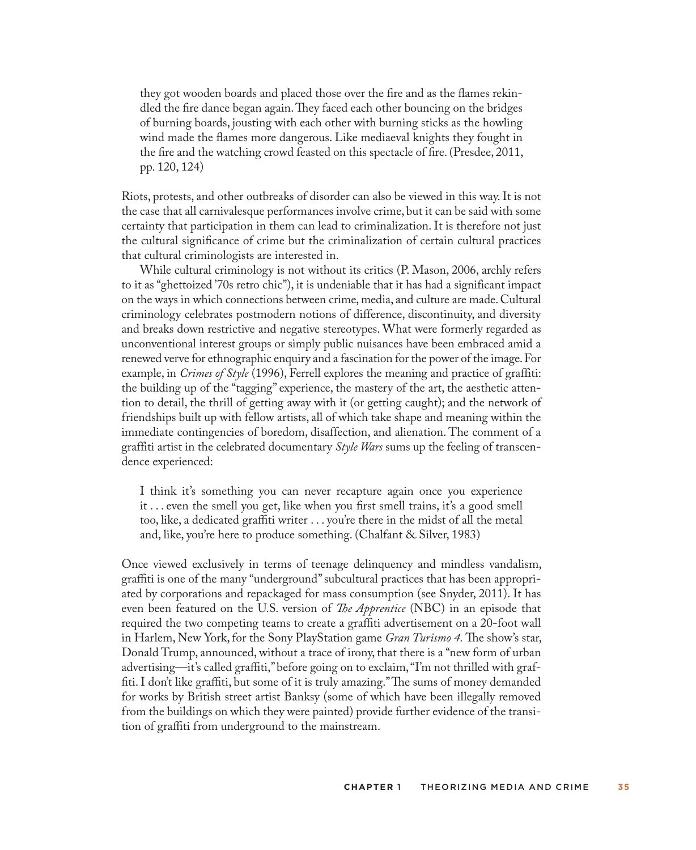they got wooden boards and placed those over the fire and as the flames rekindled the fire dance began again. They faced each other bouncing on the bridges of burning boards, jousting with each other with burning sticks as the howling wind made the flames more dangerous. Like mediaeval knights they fought in the fire and the watching crowd feasted on this spectacle of fire. (Presdee, 2011, pp. 120, 124)

Riots, protests, and other outbreaks of disorder can also be viewed in this way. It is not the case that all carnivalesque performances involve crime, but it can be said with some certainty that participation in them can lead to criminalization. It is therefore not just the cultural significance of crime but the criminalization of certain cultural practices that cultural criminologists are interested in.

While cultural criminology is not without its critics (P. Mason, 2006, archly refers to it as "ghettoized '70s retro chic"), it is undeniable that it has had a significant impact on the ways in which connections between crime, media, and culture are made. Cultural criminology celebrates postmodern notions of difference, discontinuity, and diversity and breaks down restrictive and negative stereotypes. What were formerly regarded as unconventional interest groups or simply public nuisances have been embraced amid a renewed verve for ethnographic enquiry and a fascination for the power of the image. For example, in *Crimes of Style* (1996), Ferrell explores the meaning and practice of graffiti: the building up of the "tagging" experience, the mastery of the art, the aesthetic attention to detail, the thrill of getting away with it (or getting caught); and the network of friendships built up with fellow artists, all of which take shape and meaning within the immediate contingencies of boredom, disaffection, and alienation. The comment of a graffiti artist in the celebrated documentary *Style Wars* sums up the feeling of transcendence experienced:

I think it's something you can never recapture again once you experience it . . . even the smell you get, like when you first smell trains, it's a good smell too, like, a dedicated graffiti writer . . . you're there in the midst of all the metal and, like, you're here to produce something. (Chalfant & Silver, 1983)

Once viewed exclusively in terms of teenage delinquency and mindless vandalism, graffiti is one of the many "underground" subcultural practices that has been appropriated by corporations and repackaged for mass consumption (see Snyder, 2011). It has even been featured on the U.S. version of *The Apprentice* (NBC) in an episode that required the two competing teams to create a graffiti advertisement on a 20-foot wall in Harlem, New York, for the Sony PlayStation game *Gran Turismo 4.* The show's star, Donald Trump, announced, without a trace of irony, that there is a "new form of urban advertising—it's called graffiti," before going on to exclaim, "I'm not thrilled with graffiti. I don't like graffiti, but some of it is truly amazing." The sums of money demanded for works by British street artist Banksy (some of which have been illegally removed from the buildings on which they were painted) provide further evidence of the transition of graffiti from underground to the mainstream.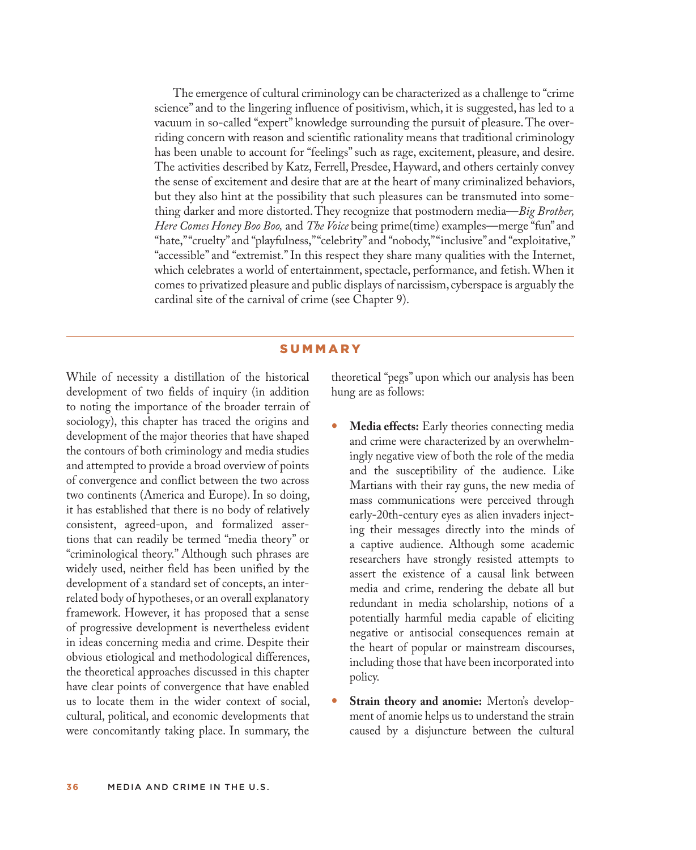The emergence of cultural criminology can be characterized as a challenge to "crime science" and to the lingering influence of positivism, which, it is suggested, has led to a vacuum in so-called "expert" knowledge surrounding the pursuit of pleasure. The overriding concern with reason and scientific rationality means that traditional criminology has been unable to account for "feelings" such as rage, excitement, pleasure, and desire. The activities described by Katz, Ferrell, Presdee, Hayward, and others certainly convey the sense of excitement and desire that are at the heart of many criminalized behaviors, but they also hint at the possibility that such pleasures can be transmuted into something darker and more distorted. They recognize that postmodern media—*Big Brother, Here Comes Honey Boo Boo,* and *The Voice* being prime(time) examples—merge "fun" and "hate," "cruelty" and "playfulness," "celebrity" and "nobody," "inclusive" and "exploitative," "accessible" and "extremist." In this respect they share many qualities with the Internet, which celebrates a world of entertainment, spectacle, performance, and fetish. When it comes to privatized pleasure and public displays of narcissism, cyberspace is arguably the cardinal site of the carnival of crime (see Chapter 9).

#### **SUMMARY**

While of necessity a distillation of the historical development of two fields of inquiry (in addition to noting the importance of the broader terrain of sociology), this chapter has traced the origins and development of the major theories that have shaped the contours of both criminology and media studies and attempted to provide a broad overview of points of convergence and conflict between the two across two continents (America and Europe). In so doing, it has established that there is no body of relatively consistent, agreed-upon, and formalized assertions that can readily be termed "media theory" or "criminological theory." Although such phrases are widely used, neither field has been unified by the development of a standard set of concepts, an interrelated body of hypotheses, or an overall explanatory framework. However, it has proposed that a sense of progressive development is nevertheless evident in ideas concerning media and crime. Despite their obvious etiological and methodological differences, the theoretical approaches discussed in this chapter have clear points of convergence that have enabled us to locate them in the wider context of social, cultural, political, and economic developments that were concomitantly taking place. In summary, the

theoretical "pegs" upon which our analysis has been hung are as follows:

- **Media effects:** Early theories connecting media and crime were characterized by an overwhelmingly negative view of both the role of the media and the susceptibility of the audience. Like Martians with their ray guns, the new media of mass communications were perceived through early-20th-century eyes as alien invaders injecting their messages directly into the minds of a captive audience. Although some academic researchers have strongly resisted attempts to assert the existence of a causal link between media and crime, rendering the debate all but redundant in media scholarship, notions of a potentially harmful media capable of eliciting negative or antisocial consequences remain at the heart of popular or mainstream discourses, including those that have been incorporated into policy.
- **Strain theory and anomie:** Merton's development of anomie helps us to understand the strain caused by a disjuncture between the cultural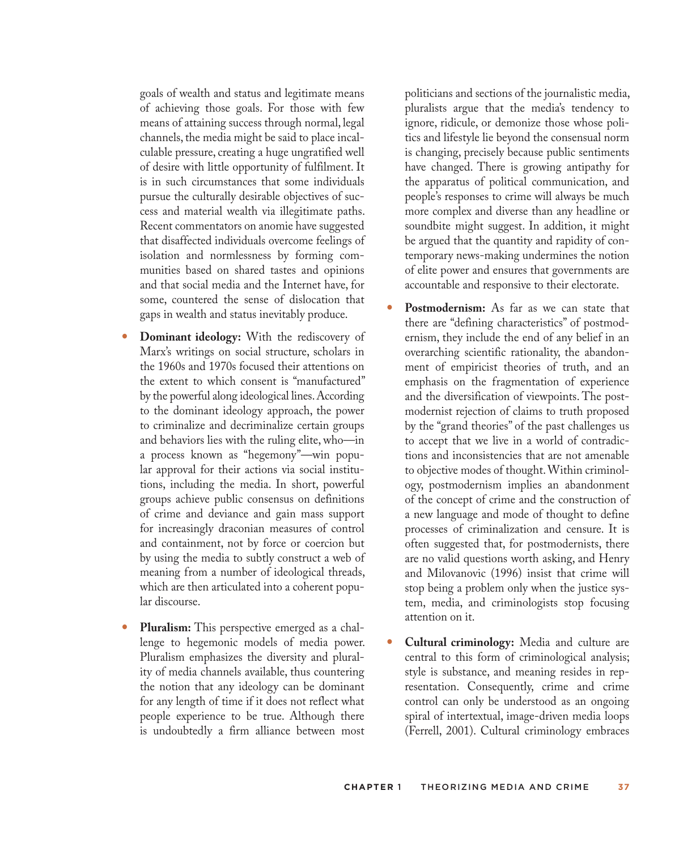goals of wealth and status and legitimate means of achieving those goals. For those with few means of attaining success through normal, legal channels, the media might be said to place incalculable pressure, creating a huge ungratified well of desire with little opportunity of fulfilment. It is in such circumstances that some individuals pursue the culturally desirable objectives of success and material wealth via illegitimate paths. Recent commentators on anomie have suggested that disaffected individuals overcome feelings of isolation and normlessness by forming communities based on shared tastes and opinions and that social media and the Internet have, for some, countered the sense of dislocation that gaps in wealth and status inevitably produce.

- **Dominant ideology:** With the rediscovery of Marx's writings on social structure, scholars in the 1960s and 1970s focused their attentions on the extent to which consent is "manufactured" by the powerful along ideological lines. According to the dominant ideology approach, the power to criminalize and decriminalize certain groups and behaviors lies with the ruling elite, who—in a process known as "hegemony"—win popular approval for their actions via social institutions, including the media. In short, powerful groups achieve public consensus on definitions of crime and deviance and gain mass support for increasingly draconian measures of control and containment, not by force or coercion but by using the media to subtly construct a web of meaning from a number of ideological threads, which are then articulated into a coherent popular discourse.
- **Pluralism:** This perspective emerged as a challenge to hegemonic models of media power. Pluralism emphasizes the diversity and plurality of media channels available, thus countering the notion that any ideology can be dominant for any length of time if it does not reflect what people experience to be true. Although there is undoubtedly a firm alliance between most

politicians and sections of the journalistic media, pluralists argue that the media's tendency to ignore, ridicule, or demonize those whose politics and lifestyle lie beyond the consensual norm is changing, precisely because public sentiments have changed. There is growing antipathy for the apparatus of political communication, and people's responses to crime will always be much more complex and diverse than any headline or soundbite might suggest. In addition, it might be argued that the quantity and rapidity of contemporary news-making undermines the notion of elite power and ensures that governments are accountable and responsive to their electorate.

- **Postmodernism:** As far as we can state that there are "defining characteristics" of postmodernism, they include the end of any belief in an overarching scientific rationality, the abandonment of empiricist theories of truth, and an emphasis on the fragmentation of experience and the diversification of viewpoints. The postmodernist rejection of claims to truth proposed by the "grand theories" of the past challenges us to accept that we live in a world of contradictions and inconsistencies that are not amenable to objective modes of thought. Within criminology, postmodernism implies an abandonment of the concept of crime and the construction of a new language and mode of thought to define processes of criminalization and censure. It is often suggested that, for postmodernists, there are no valid questions worth asking, and Henry and Milovanovic (1996) insist that crime will stop being a problem only when the justice system, media, and criminologists stop focusing attention on it.
- **Cultural criminology:** Media and culture are central to this form of criminological analysis; style is substance, and meaning resides in representation. Consequently, crime and crime control can only be understood as an ongoing spiral of intertextual, image-driven media loops (Ferrell, 2001). Cultural criminology embraces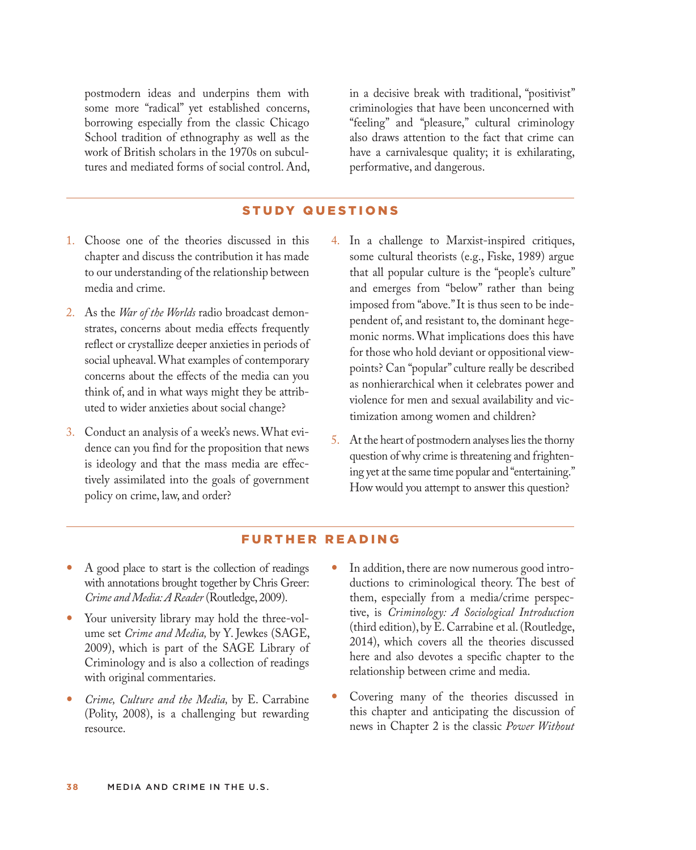postmodern ideas and underpins them with some more "radical" yet established concerns, borrowing especially from the classic Chicago School tradition of ethnography as well as the work of British scholars in the 1970s on subcultures and mediated forms of social control. And, in a decisive break with traditional, "positivist" criminologies that have been unconcerned with "feeling" and "pleasure," cultural criminology also draws attention to the fact that crime can have a carnivalesque quality; it is exhilarating, performative, and dangerous.

## STUDY QUESTIONS

- 1. Choose one of the theories discussed in this chapter and discuss the contribution it has made to our understanding of the relationship between media and crime.
- 2. As the *War of the Worlds* radio broadcast demonstrates, concerns about media effects frequently reflect or crystallize deeper anxieties in periods of social upheaval. What examples of contemporary concerns about the effects of the media can you think of, and in what ways might they be attributed to wider anxieties about social change?
- 3. Conduct an analysis of a week's news. What evidence can you find for the proposition that news is ideology and that the mass media are effectively assimilated into the goals of government policy on crime, law, and order?
- 4. In a challenge to Marxist-inspired critiques, some cultural theorists (e.g., Fiske, 1989) argue that all popular culture is the "people's culture" and emerges from "below" rather than being imposed from "above." It is thus seen to be independent of, and resistant to, the dominant hegemonic norms. What implications does this have for those who hold deviant or oppositional viewpoints? Can "popular" culture really be described as nonhierarchical when it celebrates power and violence for men and sexual availability and victimization among women and children?
- 5. At the heart of postmodern analyses lies the thorny question of why crime is threatening and frightening yet at the same time popular and "entertaining." How would you attempt to answer this question?

### FURTHER READING

- A good place to start is the collection of readings with annotations brought together by Chris Greer: *Crime and Media: A Reader* (Routledge, 2009).
- Your university library may hold the three-volume set *Crime and Media,* by Y. Jewkes (SAGE, 2009), which is part of the SAGE Library of Criminology and is also a collection of readings with original commentaries.
- *Crime, Culture and the Media,* by E. Carrabine (Polity, 2008), is a challenging but rewarding resource.
- In addition, there are now numerous good introductions to criminological theory. The best of them, especially from a media/crime perspective, is *Criminology: A Sociological Introduction* (third edition), by E. Carrabine et al. (Routledge, 2014), which covers all the theories discussed here and also devotes a specific chapter to the relationship between crime and media.
- Covering many of the theories discussed in this chapter and anticipating the discussion of news in Chapter 2 is the classic *Power Without*